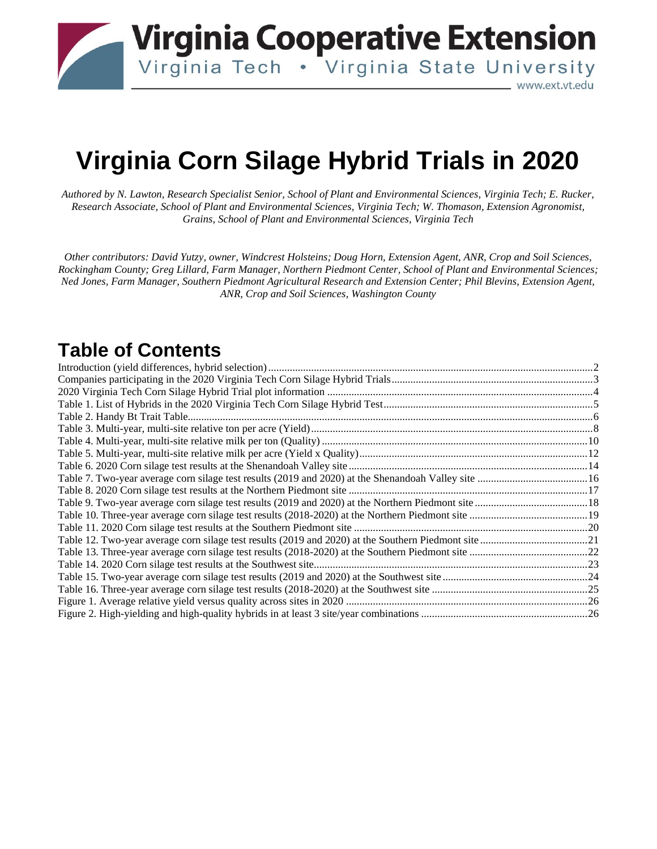**Virginia Cooperative Extension** 

\_ www.ext.vt.edu

Virginia Tech . Virginia State University

# **Virginia Corn Silage Hybrid Trials in 2020**

*Authored by N. Lawton, Research Specialist Senior, School of Plant and Environmental Sciences, Virginia Tech; E. Rucker, Research Associate, School of Plant and Environmental Sciences, Virginia Tech; W. Thomason, Extension Agronomist, Grains, School of Plant and Environmental Sciences, Virginia Tech* 

*Other contributors: David Yutzy, owner, Windcrest Holsteins; Doug Horn, Extension Agent, ANR, Crop and Soil Sciences, Rockingham County; Greg Lillard, Farm Manager, Northern Piedmont Center, School of Plant and Environmental Sciences; Ned Jones, Farm Manager, Southern Piedmont Agricultural Research and Extension Center; Phil Blevins, Extension Agent, ANR, Crop and Soil Sciences, Washington County* 

### **Table of Contents**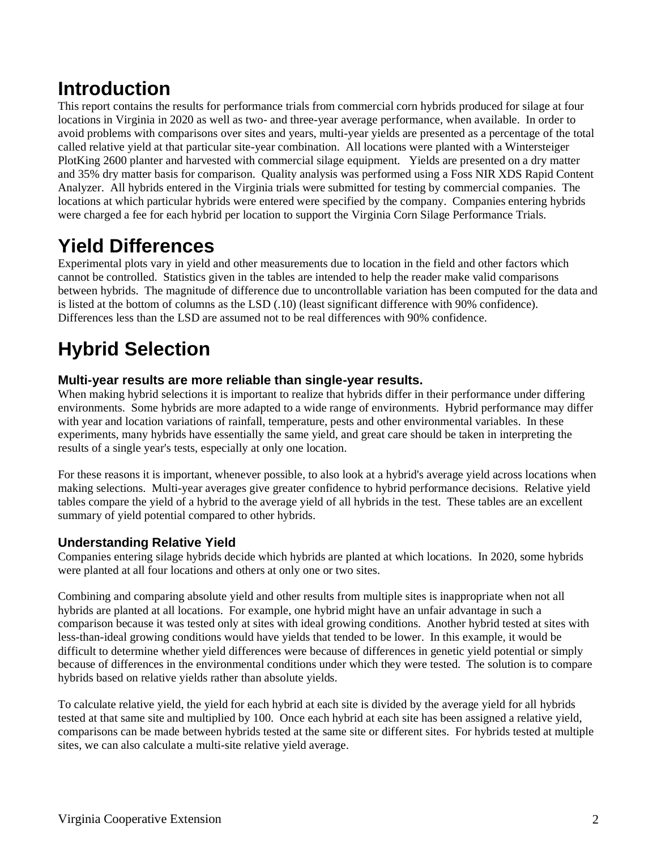### **Introduction**

This report contains the results for performance trials from commercial corn hybrids produced for silage at four locations in Virginia in 2020 as well as two- and three-year average performance, when available. In order to avoid problems with comparisons over sites and years, multi-year yields are presented as a percentage of the total called relative yield at that particular site-year combination. All locations were planted with a Wintersteiger PlotKing 2600 planter and harvested with commercial silage equipment. Yields are presented on a dry matter and 35% dry matter basis for comparison. Quality analysis was performed using a Foss NIR XDS Rapid Content Analyzer. All hybrids entered in the Virginia trials were submitted for testing by commercial companies. The locations at which particular hybrids were entered were specified by the company. Companies entering hybrids were charged a fee for each hybrid per location to support the Virginia Corn Silage Performance Trials.

### **Yield Differences**

Experimental plots vary in yield and other measurements due to location in the field and other factors which cannot be controlled. Statistics given in the tables are intended to help the reader make valid comparisons between hybrids. The magnitude of difference due to uncontrollable variation has been computed for the data and is listed at the bottom of columns as the LSD (.10) (least significant difference with 90% confidence). Differences less than the LSD are assumed not to be real differences with 90% confidence.

## **Hybrid Selection**

### **Multi-year results are more reliable than single-year results.**

When making hybrid selections it is important to realize that hybrids differ in their performance under differing environments. Some hybrids are more adapted to a wide range of environments. Hybrid performance may differ with year and location variations of rainfall, temperature, pests and other environmental variables. In these experiments, many hybrids have essentially the same yield, and great care should be taken in interpreting the results of a single year's tests, especially at only one location.

For these reasons it is important, whenever possible, to also look at a hybrid's average yield across locations when making selections. Multi-year averages give greater confidence to hybrid performance decisions. Relative yield tables compare the yield of a hybrid to the average yield of all hybrids in the test. These tables are an excellent summary of yield potential compared to other hybrids.

### **Understanding Relative Yield**

Companies entering silage hybrids decide which hybrids are planted at which locations. In 2020, some hybrids were planted at all four locations and others at only one or two sites.

Combining and comparing absolute yield and other results from multiple sites is inappropriate when not all hybrids are planted at all locations. For example, one hybrid might have an unfair advantage in such a comparison because it was tested only at sites with ideal growing conditions. Another hybrid tested at sites with less-than-ideal growing conditions would have yields that tended to be lower. In this example, it would be difficult to determine whether yield differences were because of differences in genetic yield potential or simply because of differences in the environmental conditions under which they were tested. The solution is to compare hybrids based on relative yields rather than absolute yields.

To calculate relative yield, the yield for each hybrid at each site is divided by the average yield for all hybrids tested at that same site and multiplied by 100. Once each hybrid at each site has been assigned a relative yield, comparisons can be made between hybrids tested at the same site or different sites. For hybrids tested at multiple sites, we can also calculate a multi-site relative yield average.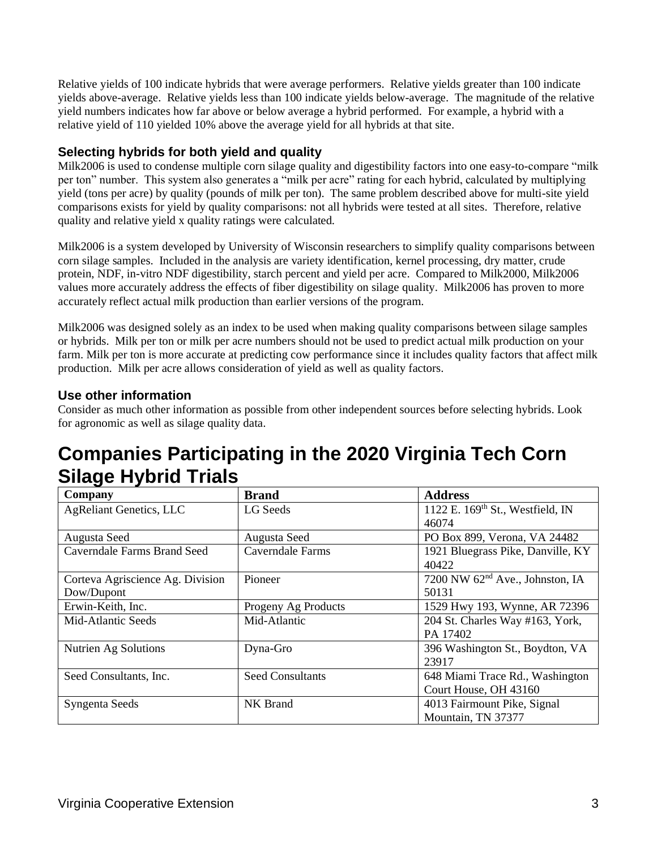Relative yields of 100 indicate hybrids that were average performers. Relative yields greater than 100 indicate yields above-average. Relative yields less than 100 indicate yields below-average. The magnitude of the relative yield numbers indicates how far above or below average a hybrid performed. For example, a hybrid with a relative yield of 110 yielded 10% above the average yield for all hybrids at that site.

### **Selecting hybrids for both yield and quality**

Milk2006 is used to condense multiple corn silage quality and digestibility factors into one easy-to-compare "milk per ton" number. This system also generates a "milk per acre" rating for each hybrid, calculated by multiplying yield (tons per acre) by quality (pounds of milk per ton). The same problem described above for multi-site yield comparisons exists for yield by quality comparisons: not all hybrids were tested at all sites. Therefore, relative quality and relative yield x quality ratings were calculated.

Milk2006 is a system developed by University of Wisconsin researchers to simplify quality comparisons between corn silage samples. Included in the analysis are variety identification, kernel processing, dry matter, crude protein, NDF, in-vitro NDF digestibility, starch percent and yield per acre. Compared to Milk2000, Milk2006 values more accurately address the effects of fiber digestibility on silage quality. Milk2006 has proven to more accurately reflect actual milk production than earlier versions of the program.

Milk2006 was designed solely as an index to be used when making quality comparisons between silage samples or hybrids. Milk per ton or milk per acre numbers should not be used to predict actual milk production on your farm. Milk per ton is more accurate at predicting cow performance since it includes quality factors that affect milk production. Milk per acre allows consideration of yield as well as quality factors.

### **Use other information**

Consider as much other information as possible from other independent sources before selecting hybrids. Look for agronomic as well as silage quality data.

### **Companies Participating in the 2020 Virginia Tech Corn Silage Hybrid Trials**

| Company                            | <b>Brand</b>            | <b>Address</b>                               |
|------------------------------------|-------------------------|----------------------------------------------|
| <b>AgReliant Genetics, LLC</b>     | LG Seeds                | 1122 E. 169 <sup>th</sup> St., Westfield, IN |
|                                    |                         | 46074                                        |
| Augusta Seed                       | Augusta Seed            | PO Box 899, Verona, VA 24482                 |
| <b>Caverndale Farms Brand Seed</b> | Caverndale Farms        | 1921 Bluegrass Pike, Danville, KY            |
|                                    |                         | 40422                                        |
| Corteva Agriscience Ag. Division   | Pioneer                 | 7200 NW 62 <sup>nd</sup> Ave., Johnston, IA  |
| Dow/Dupont                         |                         | 50131                                        |
| Erwin-Keith, Inc.                  | Progeny Ag Products     | 1529 Hwy 193, Wynne, AR 72396                |
| Mid-Atlantic Seeds                 | Mid-Atlantic            | 204 St. Charles Way #163, York,              |
|                                    |                         | PA 17402                                     |
| Nutrien Ag Solutions               | Dyna-Gro                | 396 Washington St., Boydton, VA              |
|                                    |                         | 23917                                        |
| Seed Consultants, Inc.             | <b>Seed Consultants</b> | 648 Miami Trace Rd., Washington              |
|                                    |                         | Court House, OH 43160                        |
| Syngenta Seeds                     | NK Brand                | 4013 Fairmount Pike, Signal                  |
|                                    |                         | Mountain, TN 37377                           |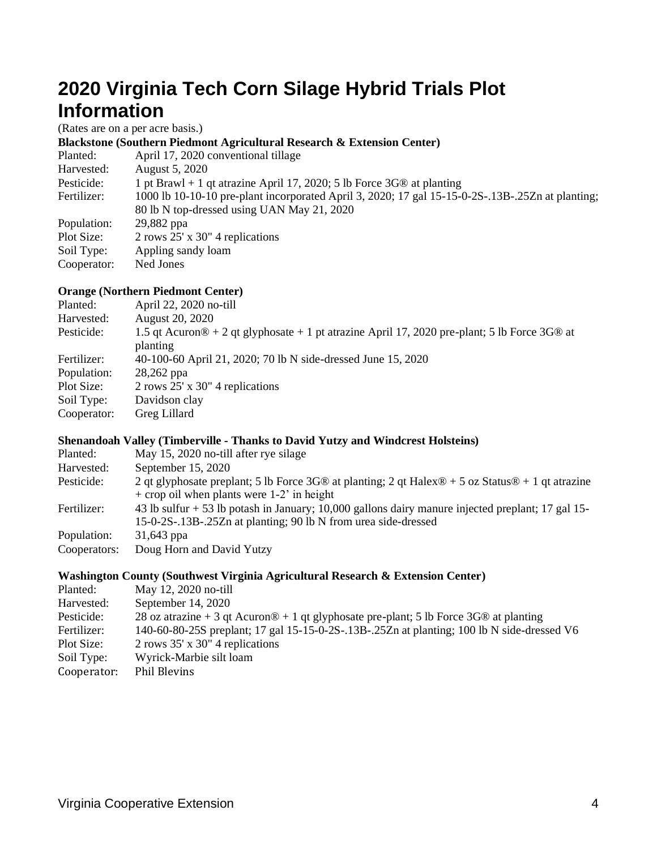### **2020 Virginia Tech Corn Silage Hybrid Trials Plot Information**

(Rates are on a per acre basis.)

#### **Blackstone (Southern Piedmont Agricultural Research & Extension Center)**

| Planted:    | April 17, 2020 conventional tillage                                                              |
|-------------|--------------------------------------------------------------------------------------------------|
| Harvested:  | August 5, 2020                                                                                   |
| Pesticide:  | 1 pt Brawl + 1 qt atrazine April 17, 2020; 5 lb Force 3G® at planting                            |
| Fertilizer: | 1000 lb 10-10-10 pre-plant incorporated April 3, 2020; 17 gal 15-15-0-2S-.13B-.25Zn at planting; |
|             | 80 lb N top-dressed using UAN May 21, 2020                                                       |
| Population: | 29,882 ppa                                                                                       |
| Plot Size:  | $2$ rows $25'$ x $30''$ 4 replications                                                           |
| Soil Type:  | Appling sandy loam                                                                               |
| Cooperator: | Ned Jones                                                                                        |

#### **Orange (Northern Piedmont Center)**

| Planted:    | April 22, 2020 no-till                                                                                               |
|-------------|----------------------------------------------------------------------------------------------------------------------|
| Harvested:  | August 20, 2020                                                                                                      |
| Pesticide:  | 1.5 qt Acuron $\⊂>0 + 2$ qt glyphosate + 1 pt atrazine April 17, 2020 pre-plant; 5 lb Force 3G $\⊂>0$ at<br>planting |
| Fertilizer: | 40-100-60 April 21, 2020; 70 lb N side-dressed June 15, 2020                                                         |
| Population: | 28,262 ppa                                                                                                           |
| Plot Size:  | $2$ rows $25'$ x $30''$ 4 replications                                                                               |
| Soil Type:  | Davidson clay                                                                                                        |
| Cooperator: | Greg Lillard                                                                                                         |

#### **Shenandoah Valley (Timberville - Thanks to David Yutzy and Windcrest Holsteins)**

| Planted:     | May 15, 2020 no-till after rye silage                                                                                                                               |
|--------------|---------------------------------------------------------------------------------------------------------------------------------------------------------------------|
| Harvested:   | September 15, 2020                                                                                                                                                  |
| Pesticide:   | 2 qt glyphosate preplant; 5 lb Force 3G® at planting; 2 qt Halex® + 5 oz Status® + 1 qt atrazine<br>$+$ crop oil when plants were 1-2' in height                    |
| Fertilizer:  | 43 lb sulfur + 53 lb potash in January; 10,000 gallons dairy manure injected preplant; 17 gal 15-<br>15-0-2S-.13B-.25Zn at planting; 90 lb N from urea side-dressed |
| Population:  | 31,643 ppa                                                                                                                                                          |
| Cooperators: | Doug Horn and David Yutzy                                                                                                                                           |

#### **Washington County (Southwest Virginia Agricultural Research & Extension Center)**

| Planted:    | May 12, 2020 no-till                                                                                    |
|-------------|---------------------------------------------------------------------------------------------------------|
| Harvested:  | September 14, 2020                                                                                      |
| Pesticide:  | 28 oz atrazine + 3 qt Acuron $\otimes$ + 1 qt glyphosate pre-plant; 5 lb Force 3G $\otimes$ at planting |
| Fertilizer: | 140-60-80-25S preplant; 17 gal 15-15-0-2S-.13B-.25Zn at planting; 100 lb N side-dressed V6              |
| Plot Size:  | $2$ rows 35' x 30" 4 replications                                                                       |
| Soil Type:  | Wyrick-Marbie silt loam                                                                                 |
| Cooperator: | Phil Blevins                                                                                            |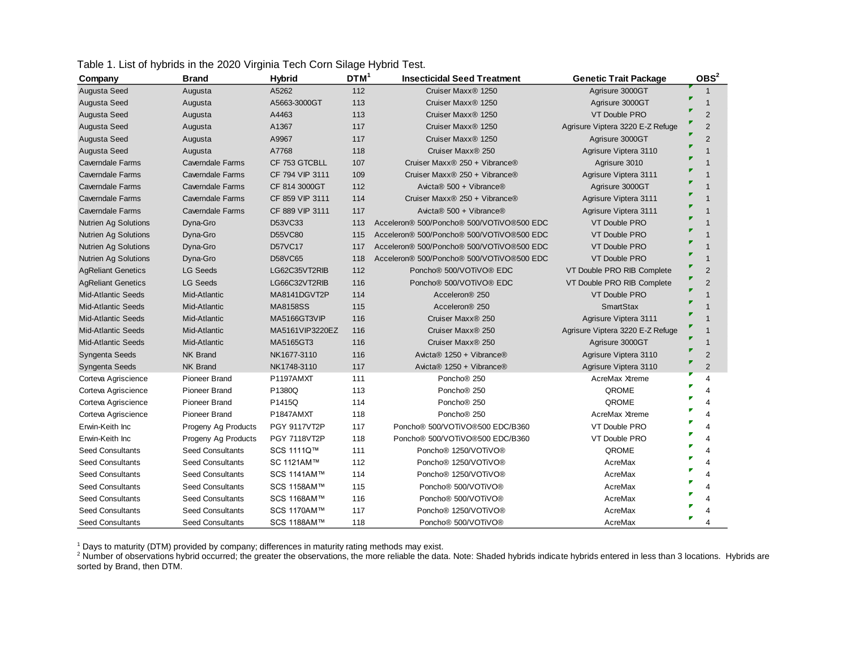|  |  | Table 1. List of hybrids in the 2020 Virginia Tech Corn Silage Hybrid Test. |
|--|--|-----------------------------------------------------------------------------|
|  |  |                                                                             |

| Company                     | Brand                   | <b>Hybrid</b>       | DTM <sup>1</sup> | <b>Insecticidal Seed Treatment</b>              | <b>Genetic Trait Package</b>     | OBS <sup>2</sup> |
|-----------------------------|-------------------------|---------------------|------------------|-------------------------------------------------|----------------------------------|------------------|
| Augusta Seed                | Augusta                 | A5262               | 112              | Cruiser Maxx <sup>®</sup> 1250                  | Agrisure 3000GT                  | $\mathbf 1$      |
| Augusta Seed                | Augusta                 | A5663-3000GT        | 113              | Cruiser Maxx <sup>®</sup> 1250                  | Agrisure 3000GT                  | 1                |
| Augusta Seed                | Augusta                 | A4463               | 113              | Cruiser Maxx <sup>®</sup> 1250                  | <b>VT Double PRO</b>             | $\overline{2}$   |
| Augusta Seed                | Augusta                 | A1367               | 117              | Cruiser Maxx <sup>®</sup> 1250                  | Agrisure Viptera 3220 E-Z Refuge | $\overline{2}$   |
| Augusta Seed                | Augusta                 | A9967               | 117              | Cruiser Maxx <sup>®</sup> 1250                  | Agrisure 3000GT                  | $\overline{2}$   |
| Augusta Seed                | Augusta                 | A7768               | 118              | Cruiser Maxx <sup>®</sup> 250                   | Agrisure Viptera 3110            |                  |
| <b>Caverndale Farms</b>     | Caverndale Farms        | CF 753 GTCBLL       | 107              | Cruiser Maxx® 250 + Vibrance®                   | Agrisure 3010                    |                  |
| Caverndale Farms            | Caverndale Farms        | CF 794 VIP 3111     | 109              | Cruiser Maxx® 250 + Vibrance®                   | Agrisure Viptera 3111            |                  |
| <b>Caverndale Farms</b>     | Caverndale Farms        | CF 814 3000GT       | 112              | Avicta® 500 + Vibrance®                         | Agrisure 3000GT                  |                  |
| <b>Caverndale Farms</b>     | <b>Caverndale Farms</b> | CF 859 VIP 3111     | 114              | Cruiser Maxx® 250 + Vibrance®                   | Agrisure Viptera 3111            |                  |
| <b>Caverndale Farms</b>     | Caverndale Farms        | CF 889 VIP 3111     | 117              | Avicta® 500 + Vibrance®                         | Agrisure Viptera 3111            |                  |
| Nutrien Ag Solutions        | Dyna-Gro                | D53VC33             | 113              | Acceleron® 500/Poncho® 500/VOTiVO®500 EDC       | <b>VT Double PRO</b>             |                  |
| <b>Nutrien Ag Solutions</b> | Dyna-Gro                | <b>D55VC80</b>      | 115              | Acceleron® 500/Poncho® 500/VOTiVO®500 EDC       | <b>VT Double PRO</b>             |                  |
| <b>Nutrien Ag Solutions</b> | Dyna-Gro                | D57VC17             | 117              | Acceleron® 500/Poncho® 500/VOTiVO®500 EDC       | <b>VT Double PRO</b>             |                  |
| <b>Nutrien Ag Solutions</b> | Dyna-Gro                | D58VC65             | 118              | Acceleron® 500/Poncho® 500/VOTiVO®500 EDC       | <b>VT Double PRO</b>             |                  |
| <b>AgReliant Genetics</b>   | <b>LG Seeds</b>         | LG62C35VT2RIB       | 112              | Poncho <sup>®</sup> 500/VOTiVO <sup>®</sup> EDC | VT Double PRO RIB Complete       | $\overline{2}$   |
| <b>AgReliant Genetics</b>   | <b>LG Seeds</b>         | LG66C32VT2RIB       | 116              | Poncho <sup>®</sup> 500/VOTiVO <sup>®</sup> EDC | VT Double PRO RIB Complete       | $\overline{2}$   |
| <b>Mid-Atlantic Seeds</b>   | Mid-Atlantic            | MA8141DGVT2P        | 114              | Acceleron <sup>®</sup> 250                      | <b>VT Double PRO</b>             |                  |
| <b>Mid-Atlantic Seeds</b>   | Mid-Atlantic            | <b>MA8158SS</b>     | 115              | Acceleron <sup>®</sup> 250                      | <b>SmartStax</b>                 |                  |
| <b>Mid-Atlantic Seeds</b>   | Mid-Atlantic            | MA5166GT3VIP        | 116              | Cruiser Maxx <sup>®</sup> 250                   | Agrisure Viptera 3111            |                  |
| <b>Mid-Atlantic Seeds</b>   | Mid-Atlantic            | MA5161VIP3220EZ     | 116              | Cruiser Maxx <sup>®</sup> 250                   | Agrisure Viptera 3220 E-Z Refuge |                  |
| <b>Mid-Atlantic Seeds</b>   | Mid-Atlantic            | MA5165GT3           | 116              | Cruiser Maxx® 250                               | Agrisure 3000GT                  | $\mathbf 1$      |
| Syngenta Seeds              | <b>NK Brand</b>         | NK1677-3110         | 116              | Avicta® 1250 + Vibrance®                        | Agrisure Viptera 3110            | $\overline{2}$   |
| Syngenta Seeds              | <b>NK Brand</b>         | NK1748-3110         | 117              | Avicta® 1250 + Vibrance®                        | Agrisure Viptera 3110            | $\overline{2}$   |
| Corteva Agriscience         | Pioneer Brand           | P1197AMXT           | 111              | Poncho <sup>®</sup> 250                         | AcreMax Xtreme                   | 4                |
| Corteva Agriscience         | Pioneer Brand           | P1380Q              | 113              | Poncho <sup>®</sup> 250                         | QROME                            | 4                |
| Corteva Agriscience         | Pioneer Brand           | P1415Q              | 114              | Poncho <sup>®</sup> 250                         | QROME                            | 4                |
| Corteva Agriscience         | Pioneer Brand           | P1847AMXT           | 118              | Poncho <sup>®</sup> 250                         | AcreMax Xtreme                   | 4                |
| Erwin-Keith Inc             | Progeny Ag Products     | <b>PGY 9117VT2P</b> | 117              | Poncho <sup>®</sup> 500/VOTiVO®500 EDC/B360     | VT Double PRO                    | 4                |
| Erwin-Keith Inc             | Progeny Ag Products     | <b>PGY 7118VT2P</b> | 118              | Poncho <sup>®</sup> 500/VOTiVO®500 EDC/B360     | VT Double PRO                    | 4                |
| <b>Seed Consultants</b>     | <b>Seed Consultants</b> | SCS 1111Q™          | 111              | Poncho <sup>®</sup> 1250/VOTiVO®                | QROME                            | 4                |
| <b>Seed Consultants</b>     | <b>Seed Consultants</b> | SC 1121AM™          | 112              | Poncho <sup>®</sup> 1250/VOTiVO®                | AcreMax                          | 4                |
| <b>Seed Consultants</b>     | <b>Seed Consultants</b> | SCS 1141AM™         | 114              | Poncho <sup>®</sup> 1250/VOTiVO®                | AcreMax                          | 4                |
| <b>Seed Consultants</b>     | <b>Seed Consultants</b> | SCS 1158AM™         | 115              | Poncho <sup>®</sup> 500/VOTiVO <sup>®</sup>     | AcreMax                          |                  |
| Seed Consultants            | Seed Consultants        | SCS 1168AM™         | 116              | Poncho <sup>®</sup> 500/VOTiVO <sup>®</sup>     | AcreMax                          |                  |
| <b>Seed Consultants</b>     | <b>Seed Consultants</b> | SCS 1170AM™         | 117              | Poncho <sup>®</sup> 1250/VOTiVO <sup>®</sup>    | AcreMax                          |                  |
| <b>Seed Consultants</b>     | <b>Seed Consultants</b> | SCS 1188AM™         | 118              | Poncho <sup>®</sup> 500/VOTiVO <sup>®</sup>     | AcreMax                          |                  |

<sup>1</sup> Days to maturity (DTM) provided by company; differences in maturity rating methods may exist.

<sup>2</sup> Number of observations hybrid occurred; the greater the observations, the more reliable the data. Note: Shaded hybrids indicate hybrids entered in less than 3 locations. Hybrids are sorted by Brand, then DTM.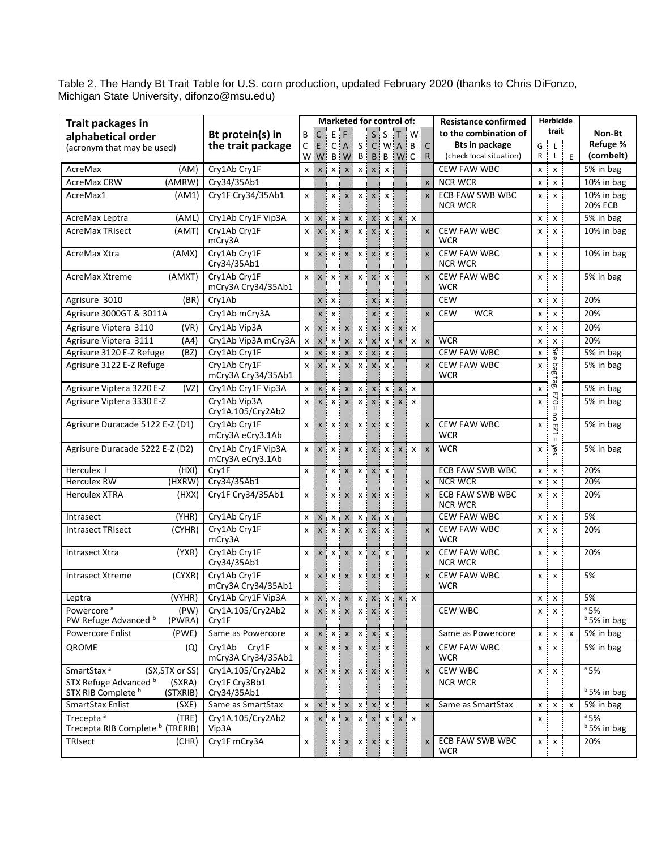Table 2. The Handy Bt Trait Table for U.S. corn production, updated February 2020 (thanks to Chris DiFonzo, Michigan State University, [difonzo@msu.edu\)](mailto:difonzo@msu.edu)

| Trait packages in                                                                                              |                                                   |         |                 |            | <b>Marketed for control of:</b>                                                                                                                     |            |                           |     |                          |                           | Herbicide<br><b>Resistance confirmed</b> |        |                            |   |                                  |  |
|----------------------------------------------------------------------------------------------------------------|---------------------------------------------------|---------|-----------------|------------|-----------------------------------------------------------------------------------------------------------------------------------------------------|------------|---------------------------|-----|--------------------------|---------------------------|------------------------------------------|--------|----------------------------|---|----------------------------------|--|
| alphabetical order                                                                                             | Bt protein(s) in                                  |         | B i C           | i e i f    |                                                                                                                                                     |            | $S$ is                    | i T | $\mathsf{I} \mathsf{W}$  |                           | to the combination of                    |        | trait                      |   | Non-Bt                           |  |
| (acronym that may be used)                                                                                     | the trait package                                 | $C$ $E$ |                 |            | $C[A \mid S \mid C]$ W $A \mid B$                                                                                                                   |            |                           |     |                          | ! c                       | <b>Bts in package</b>                    | ŧ<br>G | $\mathbb{L}^{\frac{1}{2}}$ |   | Refuge %                         |  |
|                                                                                                                |                                                   |         | $W1$ W          |            | B W B B B W C                                                                                                                                       |            |                           |     |                          | $\mathsf{R}$              | (check local situation)                  | R      | ÷<br>τł.                   | E | (cornbelt)                       |  |
| AcreMax<br>(AM)                                                                                                | Cry1Ab Cry1F                                      |         | $X$ $X$         |            | $X$ $X$ $X$ $X$ $X$ $Y$                                                                                                                             |            | $\boldsymbol{\mathsf{x}}$ |     |                          |                           | <b>CEW FAW WBC</b>                       | хi     | $\pmb{\chi}$               |   | 5% in bag                        |  |
| <b>AcreMax CRW</b><br>(AMRW)                                                                                   | Cry34/35Ab1                                       |         |                 |            |                                                                                                                                                     |            |                           |     |                          | $\boldsymbol{\mathsf{x}}$ | <b>NCR WCR</b>                           |        | x : x                      |   | 10% in bag                       |  |
| AcreMax1<br>(AM1)                                                                                              | Cry1F Cry34/35Ab1                                 | x :     |                 |            | $x \times$                                                                                                                                          | $X$ $X$    | $\mathsf{x}$              |     |                          | $\boldsymbol{\mathsf{x}}$ | <b>ECB FAW SWB WBC</b><br><b>NCR WCR</b> |        | x : x                      |   | 10% in bag<br><b>20% ECB</b>     |  |
| AcreMax Leptra<br>(AML)                                                                                        | Cry1Ab Cry1F Vip3A                                |         | $x \mid x$      |            | $x \mid x$                                                                                                                                          | $X$ $X$    |                           |     | $x \mid x \mid x$        |                           |                                          |        | x : x :                    |   | 5% in bag                        |  |
| <b>AcreMax TRIsect</b><br>(AMT)                                                                                | Cry1Ab Cry1F<br>mCry3A                            |         | x : x           |            | x : x : x : x : x                                                                                                                                   |            |                           |     |                          | $\mathsf{x}$              | <b>CEW FAW WBC</b><br><b>WCR</b>         | хi     | x                          |   | 10% in bag                       |  |
| AcreMax Xtra<br>(AMX)                                                                                          | Cry1Ab Cry1F<br>Cry34/35Ab1                       |         | x : x           |            | $X$ $X$ $X$ $X$ $X$ $Y$                                                                                                                             |            | <b>χ!</b>                 |     |                          | $\boldsymbol{\mathsf{x}}$ | <b>CEW FAW WBC</b><br><b>NCR WCR</b>     | хi     | $\boldsymbol{\mathsf{x}}$  |   | 10% in bag                       |  |
| (AMXT)<br>AcreMax Xtreme                                                                                       | Cry1Ab Cry1F<br>mCry3A Cry34/35Ab1                |         |                 |            | $x \mid x \mid x \mid x \mid x \mid x$                                                                                                              |            |                           |     |                          | $\boldsymbol{\mathsf{x}}$ | <b>CEW FAW WBC</b><br>WCR                | хį     | $\boldsymbol{\mathsf{x}}$  |   | 5% in bag                        |  |
| Agrisure 3010<br>(BR)                                                                                          | Cry1Ab                                            |         |                 | $x \mid x$ |                                                                                                                                                     |            | x : x                     |     |                          |                           | <b>CEW</b>                               |        | x : x                      |   | 20%                              |  |
| Agrisure 3000GT & 3011A                                                                                        | Cry1Ab mCry3A                                     |         | $\pmb{\times}$  | x i        |                                                                                                                                                     | x:         | X                         |     |                          | $\boldsymbol{\mathsf{x}}$ | <b>CEW</b><br><b>WCR</b>                 | хį     | $\pmb{\times}$             |   | 20%                              |  |
| Agrisure Viptera 3110<br>(VR)                                                                                  | Cry1Ab Vip3A                                      |         | $X$ $X$         |            | $X$ $X$ $X$ $X$ $X$ $X$                                                                                                                             |            |                           |     | $X$ $X$ $X$              |                           |                                          | хi     | X                          |   | 20%                              |  |
| Agrisure Viptera 3111<br>(A4)                                                                                  | Cry1Ab Vip3A mCry3A                               |         | $X$ $X$         |            | $x \mid x$                                                                                                                                          | $x \times$ |                           |     | $x \mid x \mid x \mid x$ |                           | <b>WCR</b>                               | X<br>÷ | X                          |   | 20%                              |  |
| Agrisure 3120 E-Z Refuge<br>(BZ)                                                                               | Cry1Ab Cry1F                                      |         | $x \mid x \mid$ |            | x : x :                                                                                                                                             | $X$ $X$    | $\boldsymbol{\mathsf{x}}$ |     |                          |                           | <b>CEW FAW WBC</b>                       | x<br>÷ | See                        |   | 5% in bag                        |  |
| Agrisure 3122 E-Z Refuge                                                                                       | Cry1Ab Cry1F<br>mCry3A Cry34/35Ab1                |         |                 |            | x : x : x : x : x : x : x                                                                                                                           |            |                           |     |                          | $\boldsymbol{\mathsf{x}}$ | <b>CEW FAW WBC</b><br>WCR                | x      | Beq                        |   | 5% in bag                        |  |
| Agrisure Viptera 3220 E-Z<br>(VZ)                                                                              | Cry1Ab Cry1F Vip3A                                |         | $X$ $X$         |            | $X$ $\vdots$ $X$ $\vdots$                                                                                                                           | $X$ $X$    |                           |     | $x \mid x \mid x$        |                           |                                          | X      | tag.                       |   | 5% in bag                        |  |
| Agrisure Viptera 3330 E-Z                                                                                      | Cry1Ab Vip3A<br>Cry1A.105/Cry2Ab2                 |         | x : x           |            | $x \mid x$                                                                                                                                          | $x \times$ |                           |     | x : x : x :              |                           |                                          | x      | 0Z3<br>$\mathbf{H}$<br>ō   |   | 5% in bag                        |  |
| Agrisure Duracade 5122 E-Z (D1)                                                                                | Cry1Ab Cry1F<br>mCry3A eCry3.1Ab                  |         | $X$ $X$         |            | $x \mid x \mid x \mid x \mid x \mid$                                                                                                                |            |                           |     |                          | $\boldsymbol{\mathsf{x}}$ | <b>CEW FAW WBC</b><br><b>WCR</b>         | x      | EZ1<br>$\mathbf{H}$        |   | 5% in bag                        |  |
| Agrisure Duracade 5222 E-Z (D2)                                                                                | Cry1Ab Cry1F Vip3A<br>mCry3A eCry3.1Ab            |         |                 |            | $x \mid x \mid x \mid x \mid x \mid x \mid x \mid x \mid x$                                                                                         |            |                           |     |                          |                           | <b>WCR</b>                               | x i    | λes                        |   | 5% in bag                        |  |
| Herculex I<br>(HXI)                                                                                            | Cry1F                                             | χi      |                 |            | $X$ $X$ $X$ $X$ $X$ $X$                                                                                                                             |            |                           |     |                          |                           | <b>ECB FAW SWB WBC</b>                   | x :    | X                          |   | 20%                              |  |
| <b>Herculex RW</b><br>(HXRW)                                                                                   | Cry34/35Ab1                                       |         |                 |            |                                                                                                                                                     |            |                           |     |                          | $\boldsymbol{\mathsf{x}}$ | <b>NCR WCR</b>                           | x :    | $x$ :                      |   | 20%                              |  |
| <b>Herculex XTRA</b><br>(HXX)                                                                                  | Cry1F Cry34/35Ab1                                 | χļ      |                 |            | $x$ $x$ $x$ $x$ $x$ $x$                                                                                                                             |            |                           |     |                          | $\boldsymbol{\mathsf{x}}$ | <b>ECB FAW SWB WBC</b><br><b>NCR WCR</b> | хį     | $\pmb{\chi}$               |   | 20%                              |  |
| (YHR)<br>Intrasect                                                                                             | Cry1Ab Cry1F                                      |         | $x \cdot x$     |            | $X$ $\times$                                                                                                                                        | $X$ $X$    | X                         |     |                          |                           | <b>CEW FAW WBC</b>                       |        | x : x                      |   | 5%                               |  |
| (CYHR)<br><b>Intrasect TRIsect</b>                                                                             | Cry1Ab Cry1F<br>mCry3A                            |         | $X$ $X$         |            | $X$ $X$ $X$ $X$ $Y$                                                                                                                                 |            | $\mathsf{x}$              |     |                          | $\boldsymbol{\mathsf{x}}$ | <b>CEW FAW WBC</b><br><b>WCR</b>         | x<br>÷ | $\boldsymbol{\mathsf{x}}$  |   | 20%                              |  |
| <b>Intrasect Xtra</b><br>(YXR)                                                                                 | Cry1Ab Cry1F<br>Cry34/35Ab1                       |         | $X$ $\times$    |            | $X$ $ \mid X$ $ \mid X$ $ \mid X$ $ \mid X$                                                                                                         |            | $\boldsymbol{\mathsf{x}}$ |     |                          | $\boldsymbol{\mathsf{x}}$ | <b>CEW FAW WBC</b><br><b>NCR WCR</b>     | хį     | X                          |   | 20%                              |  |
| <b>Intrasect Xtreme</b><br>(CYXR)                                                                              | Cry1Ab Cry1F<br>mCry3A Cry34/35Ab1                |         |                 |            | x x x x x x x x x x x                                                                                                                               |            |                           |     |                          | $\boldsymbol{\mathsf{x}}$ | <b>CEW FAW WBC</b><br><b>WCR</b>         |        | x : x                      |   | 5%                               |  |
| (VYHR)<br>Leptra                                                                                               | Cry1Ab Cry1F Vip3A                                |         |                 |            | $X$ $ \mid X$ $ \mid X$ $ \mid X$ $ \mid X$ $ \mid X$ $ \mid X$ $ \mid X$ $ \mid X$                                                                 |            |                           |     |                          |                           |                                          |        | $X$ $X$ $Y$                |   | 5%                               |  |
| Powercore <sup>a</sup><br>(PW)<br>PW Refuge Advanced b<br>(PWRA)                                               | Cry1A.105/Cry2Ab2<br>Cry1F                        |         |                 |            | $x \mid x \mid x \mid x \mid x \mid x \mid x$                                                                                                       |            |                           |     |                          |                           | CEW WBC                                  |        | $x \cdot x$                |   | $a$ 5%<br>$b$ 5% in bag          |  |
| Powercore Enlist<br>(PWE)                                                                                      | Same as Powercore                                 |         |                 |            | $x \mid x \mid x \mid x \mid x \mid x \mid x$                                                                                                       |            |                           |     |                          |                           | Same as Powercore                        |        | x : x : x                  |   | 5% in bag                        |  |
| <b>OROME</b><br>(Q)                                                                                            | Cry1Ab Cry1F<br>mCry3A Cry34/35Ab1                |         |                 |            | $x \mid x \mid x \mid x \mid x \mid x \mid x$                                                                                                       |            |                           |     |                          | $\boldsymbol{\mathsf{x}}$ | <b>CEW FAW WBC</b><br><b>WCR</b>         |        | x : x :                    |   | 5% in bag                        |  |
| SmartStax <sup>a</sup><br>(SX, STX or SS)<br>STX Refuge Advanced b<br>(SXRA)<br>STX RIB Complete b<br>(STXRIB) | Cry1A.105/Cry2Ab2<br>Cry1F Cry3Bb1<br>Cry34/35Ab1 |         |                 |            | x x x x x x x x x                                                                                                                                   |            |                           |     |                          | $\boldsymbol{\mathsf{x}}$ | CEW WBC<br><b>NCR WCR</b>                |        | x : x :                    |   | $a$ 5%<br>$b$ 5% in bag          |  |
| SmartStax Enlist<br>(SXE)                                                                                      | Same as SmartStax                                 |         |                 |            | $x \mid x \mid x \mid x \mid x \mid x \mid x$                                                                                                       |            |                           |     |                          | $\boldsymbol{\mathsf{x}}$ | Same as SmartStax                        |        | x : x : x                  |   | 5% in bag                        |  |
| Trecepta <sup>a</sup><br>(TRE)<br>Trecepta RIB Complete <sup>b</sup> (TRERIB)                                  | Cry1A.105/Cry2Ab2<br>Vip3A                        |         |                 |            | $x \upharpoonright x \upharpoonright x \upharpoonright x \upharpoonright x \upharpoonright x \upharpoonright x \upharpoonright x \upharpoonright x$ |            |                           |     |                          |                           |                                          | x      |                            |   | $a$ 5%<br><sup>b</sup> 5% in bag |  |
| TRIsect<br>(CHR)                                                                                               | Cry1F mCry3A                                      | $x$ :   |                 |            | $x \mid x \mid x \mid x \mid x$                                                                                                                     |            |                           |     |                          | $\boldsymbol{\mathsf{x}}$ | ECB FAW SWB WBC<br><b>WCR</b>            |        | x : x                      |   | 20%                              |  |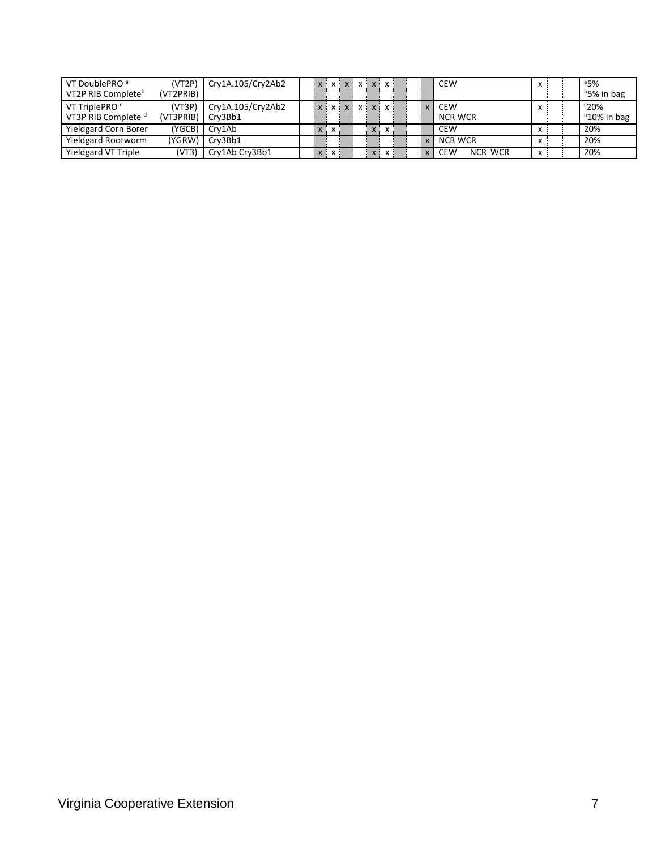| VT DoublePRO <sup>a</sup><br>VT2P RIB Complete <sup>b</sup> | (VT2P)<br>(VT2PRIB) | Cry1A.105/Cry2Ab2            | x x x x x x x x x                           |         |              | <b>CEW</b>                   | $\mathsf{x}$ | 35%<br><sup>b</sup> 5% in bag         |
|-------------------------------------------------------------|---------------------|------------------------------|---------------------------------------------|---------|--------------|------------------------------|--------------|---------------------------------------|
| VT TriplePRO <sup>c</sup><br>VT3P RIB Complete <sup>d</sup> | (VT3P)<br>(VTSPRIB) | Cry1A.105/Cry2Ab2<br>Crv3Bb1 | $\{x \mid x \mid x \mid x \mid x \mid x \}$ |         |              | CEW<br>NCR WCR               | x            | $c_{20\%}$<br><sup>D</sup> 10% in bag |
| <b>Yieldgard Corn Borer</b>                                 | (YGCB)              | Crv1Ab                       | $X$ $X$                                     | x : x : |              | <b>CEW</b>                   | x            | 20%                                   |
| Yieldgard Rootworm                                          | (YGRW) l            | Crv3Bb1                      |                                             |         | $\mathbf{v}$ | NCR WCR                      | $\mathsf{x}$ | 20%                                   |
| Yieldgard VT Triple                                         | (VT3)               | Cry1Ab Cry3Bb1               | x : x :                                     | x : x : |              | <b>CEW</b><br><b>NCR WCR</b> | $\mathsf{x}$ | 20%                                   |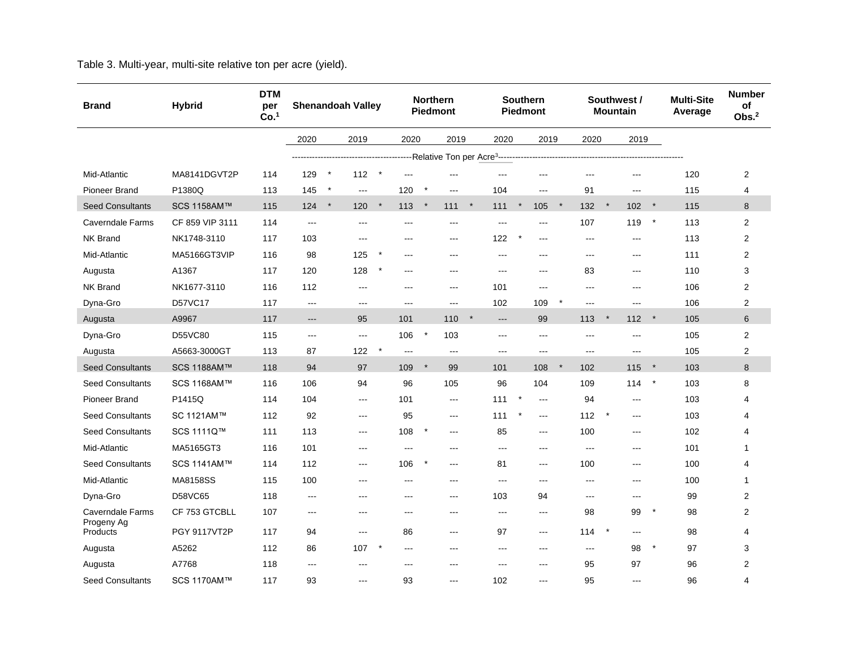Table 3. Multi-year, multi-site relative ton per acre (yield).

| <b>Brand</b>            | <b>Hybrid</b>       | <b>DTM</b><br>per<br>Co. <sup>1</sup> |       |         | <b>Shenandoah Valley</b> |         |                |         | <b>Northern</b><br><b>Piedmont</b> |              |                   |         | <b>Southern</b><br><b>Piedmont</b> |         | Southwest /<br><b>Mountain</b> |         |                           |          | <b>Multi-Site</b><br>Average | <b>Number</b><br>of<br>Obs. <sup>2</sup> |
|-------------------------|---------------------|---------------------------------------|-------|---------|--------------------------|---------|----------------|---------|------------------------------------|--------------|-------------------|---------|------------------------------------|---------|--------------------------------|---------|---------------------------|----------|------------------------------|------------------------------------------|
|                         |                     |                                       | 2020  |         | 2019                     |         | 2020           |         |                                    | 2019<br>2020 |                   | 2019    |                                    |         | 2020                           |         | 2019                      |          |                              |                                          |
|                         |                     |                                       |       |         |                          |         |                |         |                                    |              |                   |         |                                    |         |                                |         |                           |          |                              |                                          |
| Mid-Atlantic            | MA8141DGVT2P        | 114                                   | 129   | $\star$ | 112                      |         | ---            |         | $\overline{a}$                     |              |                   |         | ---                                |         | $\overline{\phantom{a}}$       |         | ---                       |          | 120                          | 2                                        |
| Pioneer Brand           | P1380Q              | 113                                   | 145   | $\ast$  | $\frac{1}{2}$            |         | 120            |         | $--$                               |              | 104               |         | ---                                |         | 91                             |         | ---                       |          | 115                          | 4                                        |
| <b>Seed Consultants</b> | SCS 1158AM™         | 115                                   | 124   | $\star$ | 120                      | $\star$ | 113            | $\star$ | 111                                | $\star$      | 111               | $\star$ | 105                                | $\star$ | 132                            | $\star$ | 102                       | $\star$  | 115                          | 8                                        |
| <b>Caverndale Farms</b> | CF 859 VIP 3111     | 114                                   | $---$ |         | $---$                    |         | $---$          |         | $\overline{a}$                     |              | $\overline{a}$    |         | ---                                |         | 107                            |         | 119                       | $\star$  | 113                          | $\overline{2}$                           |
| <b>NK Brand</b>         | NK1748-3110         | 117                                   | 103   |         | $---$                    |         | ---            |         | $---$                              |              | 122               |         | ---                                |         | $\frac{1}{2}$                  |         | ---                       |          | 113                          | 2                                        |
| Mid-Atlantic            | MA5166GT3VIP        | 116                                   | 98    |         | 125                      | $\star$ | ---            |         | $--$                               |              | $---$             |         | $---$                              |         | $---$                          |         | $---$                     |          | 111                          | 2                                        |
| Augusta                 | A1367               | 117                                   | 120   |         | 128                      |         | ---            |         | $\overline{a}$                     |              | $\overline{a}$    |         | ---                                |         | 83                             |         | $---$                     |          | 110                          | 3                                        |
| <b>NK Brand</b>         | NK1677-3110         | 116                                   | 112   |         | $\frac{1}{2}$            |         | $---$          |         | $\cdots$                           |              | 101               |         | ---                                |         | $---$                          |         | $\qquad \qquad -\qquad -$ |          | 106                          | 2                                        |
| Dyna-Gro                | D57VC17             | 117                                   | ---   |         | $\overline{a}$           |         | ---            |         | $\cdots$                           |              | 102               |         | 109                                |         | $---$                          |         | ---                       |          | 106                          | $\overline{2}$                           |
| Augusta                 | A9967               | 117                                   | ---   |         | 95                       |         | 101            |         | 110                                | $\star$      | $\overline{a}$    |         | 99                                 |         | 113                            | $\star$ | 112                       | $\star$  | 105                          | 6                                        |
| Dyna-Gro                | D55VC80             | 115                                   | ---   |         | $---$                    |         | 106            | $\star$ | 103                                |              | $\qquad \qquad -$ |         | $\frac{1}{2}$                      |         | $---$                          |         | $\qquad \qquad -$         |          | 105                          | $\overline{2}$                           |
| Augusta                 | A5663-3000GT        | 113                                   | 87    |         | 122                      |         | $\overline{a}$ |         | $\overline{\phantom{a}}$           |              | $\sim$ $\sim$     |         | $\frac{1}{2}$                      |         | $\overline{\phantom{a}}$       |         | $\sim$ $\sim$ $\sim$      |          | 105                          | 2                                        |
| <b>Seed Consultants</b> | SCS 1188AM™         | 118                                   | 94    |         | 97                       |         | 109            | $\star$ | 99                                 |              | 101               |         | 108                                |         | 102                            |         | 115                       | $\ast$   | 103                          | 8                                        |
| <b>Seed Consultants</b> | SCS 1168AM™         | 116                                   | 106   |         | 94                       |         | 96             |         | 105                                |              | 96                |         | 104                                |         | 109                            |         | 114                       | $^\star$ | 103                          | 8                                        |
| <b>Pioneer Brand</b>    | P1415Q              | 114                                   | 104   |         | $\cdots$                 |         | 101            |         | $\overline{a}$                     |              | 111               | $\ast$  | ---                                |         | 94                             |         | ---                       |          | 103                          | 4                                        |
| <b>Seed Consultants</b> | SC 1121AM™          | 112                                   | 92    |         | $---$                    |         | 95             |         | $\cdots$                           |              | 111               |         | ---                                |         | 112                            |         | ---                       |          | 103                          | 4                                        |
| <b>Seed Consultants</b> | SCS 1111Q™          | 111                                   | 113   |         | $\cdots$                 |         | 108            | $\ast$  | $\cdots$                           |              | 85                |         | $\qquad \qquad -\qquad -$          |         | 100                            |         | $---$                     |          | 102                          | 4                                        |
| Mid-Atlantic            | MA5165GT3           | 116                                   | 101   |         | ---                      |         | $\overline{a}$ |         | $\overline{a}$                     |              | $---$             |         | ---                                |         | $---$                          |         | ---                       |          | 101                          | 1                                        |
| <b>Seed Consultants</b> | SCS 1141AM™         | 114                                   | 112   |         | $\cdots$                 |         | 106            | ×       | $- - -$                            |              | 81                |         | $\qquad \qquad -\qquad -$          |         | 100                            |         | $\qquad \qquad -\qquad -$ |          | 100                          | 4                                        |
| Mid-Atlantic            | MA8158SS            | 115                                   | 100   |         | ---                      |         | ---            |         | $--$                               |              | $\sim$ $\sim$     |         | ---                                |         | $\overline{\phantom{a}}$       |         | $---$                     |          | 100                          | 1                                        |
| Dyna-Gro                | D58VC65             | 118                                   | ---   |         | ---                      |         | ---            |         | $--$                               |              | 103               |         | 94                                 |         | $\cdots$                       |         | ---                       |          | 99                           | $\overline{c}$                           |
| Caverndale Farms        | CF 753 GTCBLL       | 107                                   | $---$ |         | $---$                    |         | $---$          |         | $--$                               |              | $---$             |         | $\frac{1}{2}$                      |         | 98                             |         | 99                        | $\star$  | 98                           | 2                                        |
| Progeny Ag<br>Products  | <b>PGY 9117VT2P</b> | 117                                   | 94    |         | $\cdots$                 |         | 86             |         | $---$                              |              | 97                |         | $---$                              |         | 114                            | $\star$ | $\qquad \qquad -$         |          | 98                           | 4                                        |
| Augusta                 | A5262               | 112                                   | 86    |         | 107                      |         | $---$          |         | $---$                              |              | $\sim$ $\sim$     |         | $---$                              |         | $---$                          |         | 98                        | $\star$  | 97                           | 3                                        |
| Augusta                 | A7768               | 118                                   | ---   |         | ---                      |         | ---            |         | ---                                |              | $---$             |         | ---                                |         | 95                             |         | 97                        |          | 96                           | 2                                        |
| <b>Seed Consultants</b> | SCS 1170AM™         | 117                                   | 93    |         | $---$                    |         | 93             |         | $---$                              |              | 102               |         | $---$                              |         | 95                             |         | $---$                     |          | 96                           | 4                                        |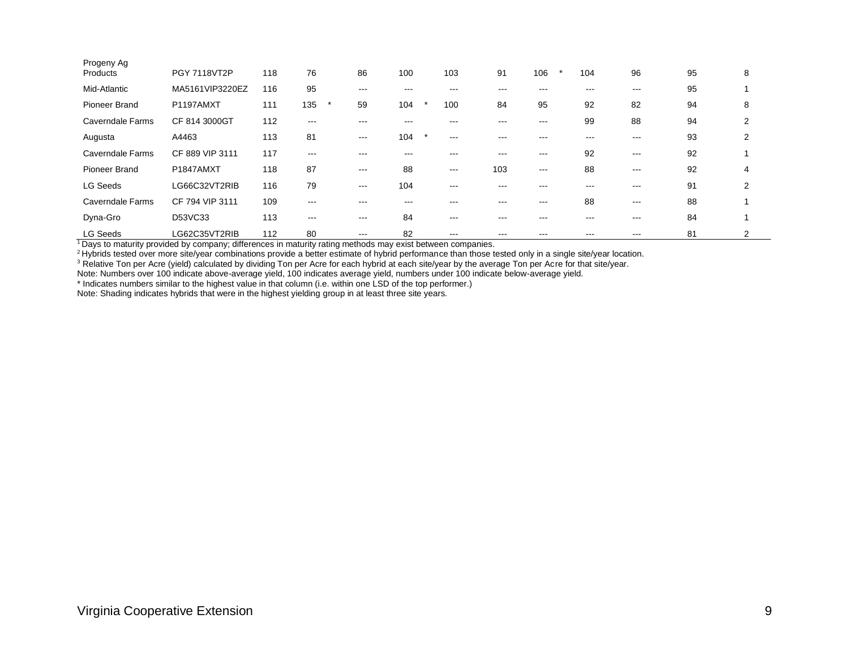| Progeny Ag<br>Products | <b>PGY 7118VT2P</b> | 118 | 76            | 86                | 100            | 103                  | 91  | 106   | 104     | 96                | 95 | 8 |  |
|------------------------|---------------------|-----|---------------|-------------------|----------------|----------------------|-----|-------|---------|-------------------|----|---|--|
| Mid-Atlantic           | MA5161VIP3220EZ     | 116 | 95            | ---               |                |                      |     |       |         | ---               | 95 |   |  |
| <b>Pioneer Brand</b>   | P1197AMXT           | 111 | 135           | 59                | 104            | 100                  | 84  | 95    | 92      | 82                | 94 | 8 |  |
| Caverndale Farms       | CF 814 3000GT       | 112 | ---           |                   |                |                      |     | ---   | 99      | 88                | 94 | 2 |  |
| Augusta                | A4463               | 113 | 81            | $\frac{1}{2}$     | 104<br>$\star$ | ---                  |     |       |         | ---               | 93 | 2 |  |
| Caverndale Farms       | CF 889 VIP 3111     | 117 | ---           | ---               | ---            | ---                  | --- | $---$ | 92      | $\qquad \qquad -$ | 92 |   |  |
| Pioneer Brand          | P1847AMXT           | 118 | 87            | $\frac{1}{2}$     | 88             | $\sim$ $\sim$ $\sim$ | 103 | $  -$ | 88      | $\qquad \qquad -$ | 92 | 4 |  |
| <b>LG Seeds</b>        | LG66C32VT2RIB       | 116 | 79            | $\qquad \qquad -$ | 104            | $- - -$              |     | ---   | ---     | $---$             | 91 | 2 |  |
| Caverndale Farms       | CF 794 VIP 3111     | 109 | ---           | ---               | ---            | ---                  | --- | $---$ | 88      | $\qquad \qquad -$ | 88 |   |  |
| Dyna-Gro               | D53VC33             | 113 | $\frac{1}{2}$ | $\frac{1}{2}$     | 84             | $\frac{1}{2}$        | --- | ---   | $- - -$ | $--$              | 84 |   |  |
| <b>LG Seeds</b>        | LG62C35VT2RIB       | 112 | 80            | $\qquad \qquad -$ | 82             | ---                  |     | ---   |         | ---               | 81 | 2 |  |

<sup>1</sup>Days to maturity provided by company; differences in maturity rating methods may exist between companies.

<sup>2</sup>Hybrids tested over more site/year combinations provide a better estimate of hybrid performance than those tested only in a single site/year location.

 $3$  Relative Ton per Acre (yield) calculated by dividing Ton per Acre for each hybrid at each site/year by the average Ton per Acre for that site/year.

Note: Numbers over 100 indicate above-average yield, 100 indicates average yield, numbers under 100 indicate below-average yield.

\* Indicates numbers similar to the highest value in that column (i.e. within one LSD of the top performer.)

Note: Shading indicates hybrids that were in the highest yielding group in at least three site years.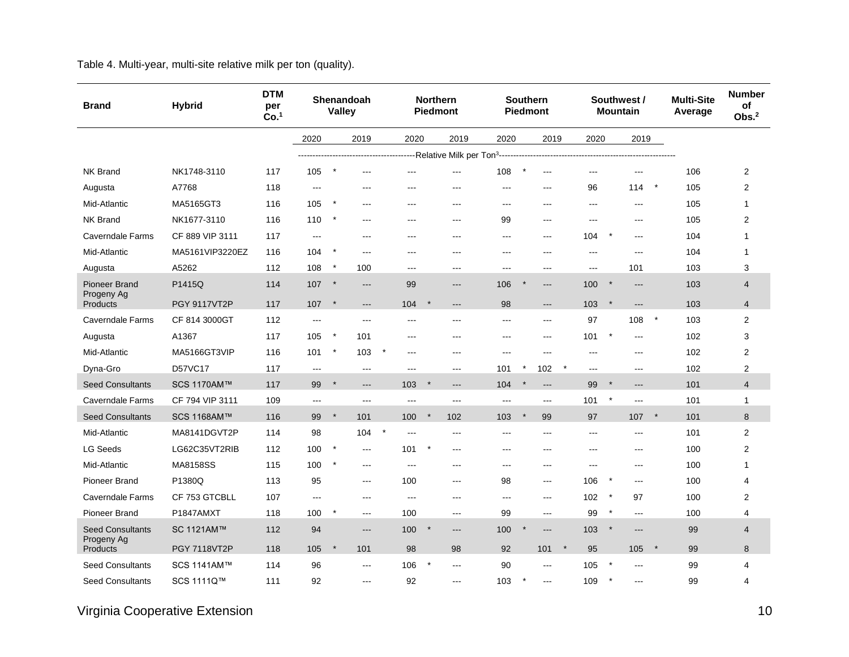Table 4. Multi-year, multi-site relative milk per ton (quality).

| <b>Brand</b>                          | <b>Hybrid</b>       | <b>DTM</b><br>per<br>Co. <sup>1</sup> |                | <b>Valley</b> | Shenandoah     |                |         | <b>Northern</b><br><b>Piedmont</b> |       | <b>Southern</b><br><b>Piedmont</b> |         |                |         | Southwest /<br><b>Mountain</b> |         | <b>Multi-Site</b><br>Average | <b>Number</b><br>of<br>Obs. <sup>2</sup> |
|---------------------------------------|---------------------|---------------------------------------|----------------|---------------|----------------|----------------|---------|------------------------------------|-------|------------------------------------|---------|----------------|---------|--------------------------------|---------|------------------------------|------------------------------------------|
|                                       |                     |                                       | 2020           |               | 2019           | 2020           |         | 2019                               | 2020  | 2019                               |         | 2020           |         | 2019                           |         |                              |                                          |
|                                       |                     |                                       |                |               |                |                |         |                                    |       |                                    |         |                |         |                                |         |                              |                                          |
| <b>NK Brand</b>                       | NK1748-3110         | 117                                   | 105            | $\star$       | ---            | ---            |         | $\overline{a}$                     | 108   | $\overline{a}$                     |         | ---            |         | $\overline{a}$                 |         | 106                          | 2                                        |
| Augusta                               | A7768               | 118                                   | ---            |               | ---            |                |         | $--$                               | ---   | ---                                |         | 96             |         | 114                            | $\star$ | 105                          | 2                                        |
| Mid-Atlantic                          | MA5165GT3           | 116                                   | 105            | $\star$       | $--$           | $---$          |         | $--$                               | $--$  | $--$                               |         | $---$          |         | $\sim$                         |         | 105                          | $\mathbf{1}$                             |
| NK Brand                              | NK1677-3110         | 116                                   | 110            | $\star$       | $---$          | ---            |         | $---$                              | 99    | $---$                              |         | $---$          |         | $---$                          |         | 105                          | 2                                        |
| Caverndale Farms                      | CF 889 VIP 3111     | 117                                   | $\cdots$       |               | $---$          | ---            |         | $--$                               | ---   | $\frac{1}{2}$                      |         | 104            |         | $---$                          |         | 104                          | $\mathbf{1}$                             |
| Mid-Atlantic                          | MA5161VIP3220EZ     | 116                                   | 104            | $\star$       | $\overline{a}$ | $---$          |         | $---$                              | $--$  | $---$                              |         | $\overline{a}$ |         | $---$                          |         | 104                          | 1                                        |
| Augusta                               | A5262               | 112                                   | 108            | $^\star$      | 100            | ---            |         | $---$                              | ---   | $---$                              |         | ---            |         | 101                            |         | 103                          | 3                                        |
| <b>Pioneer Brand</b>                  | P1415Q              | 114                                   | 107            | $\star$       | $---$          | 99             |         | $---$                              | 106   | $---$                              |         | 100            | $\star$ | $---$                          |         | 103                          | 4                                        |
| Progeny Ag<br><b>Products</b>         | <b>PGY 9117VT2P</b> | 117                                   | 107            | $\star$       | $---$          | 104            | $\star$ | $---$                              | 98    | $---$                              |         | 103            | $\star$ | $---$                          |         | 103                          | $\overline{4}$                           |
| <b>Caverndale Farms</b>               | CF 814 3000GT       | 112                                   | ---            |               | $\overline{a}$ | ---            |         | $\overline{a}$                     | ---   | $\qquad \qquad -$                  |         | 97             |         | 108                            | $\star$ | 103                          | 2                                        |
| Augusta                               | A1367               | 117                                   | 105            | $\star$       | 101            | ---            |         | $---$                              | ---   | $---$                              |         | 101            | $\star$ | $\overline{\phantom{a}}$       |         | 102                          | 3                                        |
| Mid-Atlantic                          | MA5166GT3VIP        | 116                                   | 101            | $\star$       | 103            | $---$          |         | $---$                              | $---$ | $---$                              |         | $\overline{a}$ |         | $\sim$                         |         | 102                          | 2                                        |
| Dyna-Gro                              | D57VC17             | 117                                   | $\overline{a}$ |               | $\overline{a}$ | $---$          |         | $---$                              | 101   | 102                                |         | $---$          |         | $\overline{a}$                 |         | 102                          | 2                                        |
| <b>Seed Consultants</b>               | SCS 1170AM™         | 117                                   | 99             | $\star$       | $---$          | 103            | $\star$ | $---$                              | 104   | $\qquad \qquad - -$                |         | 99             | $\star$ | $---$                          |         | 101                          | $\overline{4}$                           |
| Caverndale Farms                      | CF 794 VIP 3111     | 109                                   | $---$          |               | $\overline{a}$ | $\overline{a}$ |         | $\overline{a}$                     | $---$ | $\overline{a}$                     |         | 101            | $\star$ | $---$                          |         | 101                          | 1                                        |
| <b>Seed Consultants</b>               | SCS 1168AM™         | 116                                   | 99             | $\star$       | 101            | 100            | $\star$ | 102                                | 103   | 99                                 |         | 97             |         | 107                            | $\star$ | 101                          | 8                                        |
| Mid-Atlantic                          | MA8141DGVT2P        | 114                                   | 98             |               | 104            | $--$           |         | $--$                               | ---   | $--$                               |         | $---$          |         | $\sim$ $\sim$                  |         | 101                          | $\overline{2}$                           |
| <b>LG Seeds</b>                       | LG62C35VT2RIB       | 112                                   | 100            | $\star$       | $\sim$         | 101            |         | $---$                              | ---   | $\qquad \qquad -$                  |         | ---            |         | $\sim$                         |         | 100                          | 2                                        |
| Mid-Atlantic                          | MA8158SS            | 115                                   | 100            | $\star$       | $---$          | $---$          |         | $---$                              | ---   | $---$                              |         | ---            |         | $\overline{\phantom{a}}$       |         | 100                          | $\mathbf{1}$                             |
| Pioneer Brand                         | P1380Q              | 113                                   | 95             |               | $--$           | 100            |         | $---$                              | 98    | $\frac{1}{2}$                      |         | 106            | $\star$ | $\sim$                         |         | 100                          | 4                                        |
| Caverndale Farms                      | CF 753 GTCBLL       | 107                                   | $\overline{a}$ |               | $---$          | ---            |         | $---$                              | ---   | $---$                              |         | 102            |         | 97                             |         | 100                          | 2                                        |
| <b>Pioneer Brand</b>                  | P1847AMXT           | 118                                   | 100            | $\star$       | $\cdots$       | 100            |         | $---$                              | 99    | $\frac{1}{2}$                      |         | 99             | $\star$ | $  -$                          |         | 100                          | 4                                        |
| <b>Seed Consultants</b><br>Progeny Ag | SC 1121AM™          | 112                                   | 94             |               | $---$          | 100            |         | $---$                              | 100   | $---$                              |         | 103            |         | $---$                          |         | 99                           | 4                                        |
| <b>Products</b>                       | <b>PGY 7118VT2P</b> | 118                                   | 105            | $\star$       | 101            | 98             |         | 98                                 | 92    | 101                                | $\star$ | 95             |         | 105                            | $\star$ | 99                           | 8                                        |
| <b>Seed Consultants</b>               | SCS 1141AM™         | 114                                   | 96             |               | $\overline{a}$ | 106            |         | $\sim$                             | 90    | $\overline{a}$                     |         | 105            |         | $\overline{a}$                 |         | 99                           | 4                                        |
| <b>Seed Consultants</b>               | SCS 1111Q™          | 111                                   | 92             |               | $---$          | 92             |         | $---$                              | 103   | $---$                              |         | 109            |         | $---$                          |         | 99                           | 4                                        |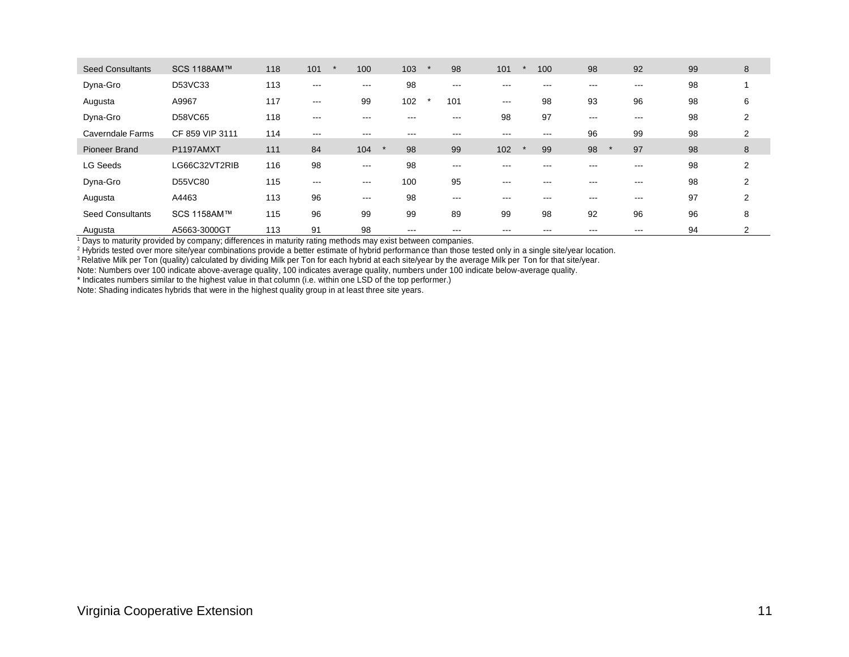| <b>Seed Consultants</b> | SCS 1188AM™     | 118 | 101           | 100  | 103 | 98       | 101               | 100               | 98      | 92      | 99 | 8 |
|-------------------------|-----------------|-----|---------------|------|-----|----------|-------------------|-------------------|---------|---------|----|---|
| Dyna-Gro                | D53VC33         | 113 | $\frac{1}{2}$ | ---  | 98  | ---      | $---$             | ---               | ---     | $- - -$ | 98 |   |
| Augusta                 | A9967           | 117 | $-- -$        | 99   | 102 | 101      | $- - -$           | 98                | 93      | 96      | 98 | 6 |
| Dyna-Gro                | D58VC65         | 118 | $- - -$       | ---  |     | $- - -$  | 98                | 97                | $- - -$ | $- - -$ | 98 | 2 |
| Caverndale Farms        | CF 859 VIP 3111 | 114 | $\frac{1}{2}$ | ---  | --- | ---      | $\qquad \qquad -$ | $\qquad \qquad -$ | 96      | 99      | 98 | 2 |
| <b>Pioneer Brand</b>    | P1197AMXT       | 111 | 84            | 104  | 98  | 99       | 102               | 99                | 98      | 97      | 98 | 8 |
| <b>LG Seeds</b>         | LG66C32VT2RIB   | 116 | 98            | $--$ | 98  | $\cdots$ | ---               |                   | ---     | ---     | 98 | 2 |
| Dyna-Gro                | D55VC80         | 115 | $-- -$        | ---  | 100 | 95       | $- - -$           | ---               | ---     | ---     | 98 | 2 |
| Augusta                 | A4463           | 113 | 96            | $--$ | 98  | $\cdots$ | $---$             | $- - -$           | ---     | $- - -$ | 97 | 2 |
| <b>Seed Consultants</b> | SCS 1158AM™     | 115 | 96            | 99   | 99  | 89       | 99                | 98                | 92      | 96      | 96 | 8 |
| Augusta                 | A5663-3000GT    | 113 | 91            | 98   | --- |          | ---               | $- - -$           |         | ---     | 94 | 2 |

<sup>1</sup> Days to maturity provided by company; differences in maturity rating methods may exist between companies.

<sup>2</sup> Hybrids tested over more site/year combinations provide a better estimate of hybrid performance than those tested only in a single site/year location.

 $^3$  Relative Milk per Ton (quality) calculated by dividing Milk per Ton for each hybrid at each site/year by the average Milk per Ton for that site/year.

Note: Numbers over 100 indicate above-average quality, 100 indicates average quality, numbers under 100 indicate below-average quality.

\* Indicates numbers similar to the highest value in that column (i.e. within one LSD of the top performer.)

Note: Shading indicates hybrids that were in the highest quality group in at least three site years.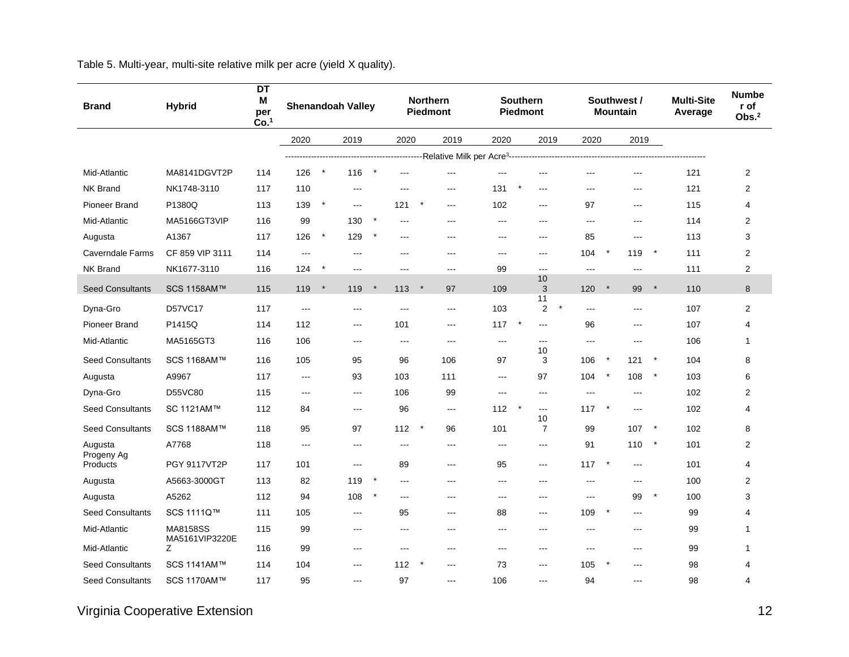Table 5. Multi-year, multi-site relative milk per acre (yield X quality).

| <b>Brand</b>            | <b>Hybrid</b>       | DT<br>Μ<br>per<br>Co. <sup>1</sup> |                      | <b>Shenandoah Valley</b><br>2020<br>2019 |                      |          | <b>Northern</b><br><b>Piedmont</b> |          |                          | <b>Southern</b><br><b>Piedmont</b> |                          |                           |                | Southwest /<br><b>Mountain</b> |                          | <b>Multi-Site</b><br>Average | <b>Numbe</b><br>r of<br>Obs. <sup>2</sup> |                |
|-------------------------|---------------------|------------------------------------|----------------------|------------------------------------------|----------------------|----------|------------------------------------|----------|--------------------------|------------------------------------|--------------------------|---------------------------|----------------|--------------------------------|--------------------------|------------------------------|-------------------------------------------|----------------|
|                         |                     |                                    | 2020                 |                                          |                      |          |                                    |          | 2019                     | 2020                               |                          | 2019                      | 2020           |                                | 2019                     |                              |                                           |                |
|                         |                     |                                    |                      |                                          |                      |          |                                    |          |                          |                                    |                          |                           |                |                                |                          |                              |                                           |                |
| Mid-Atlantic            | MA8141DGVT2P        | 114                                | 126                  | $\star$                                  | 116                  | $\ast$   | ---                                |          | ---                      | $---$                              |                          |                           | ---            |                                | $\overline{\phantom{a}}$ |                              | 121                                       | $\overline{c}$ |
| <b>NK Brand</b>         | NK1748-3110         | 117                                | 110                  |                                          | $---$                |          | ---                                |          | $---$                    | 131                                | $---$                    |                           | $- - -$        |                                | $---$                    |                              | 121                                       | $\overline{2}$ |
| <b>Pioneer Brand</b>    | P1380Q              | 113                                | 139                  | $\star$                                  | $- - -$              |          | 121                                |          | $\overline{a}$           | 102                                | ---                      |                           | 97             |                                | $\sim$                   |                              | 115                                       | 4              |
| Mid-Atlantic            | MA5166GT3VIP        | 116                                | 99                   |                                          | 130                  | $^\star$ | ---                                |          | $\cdots$                 | $\cdots$                           | ---                      |                           | ---            |                                | $\cdots$                 |                              | 114                                       | 2              |
| Augusta                 | A1367               | 117                                | 126                  | $^\star$                                 | 129                  | $\ast$   | $-$ - $-$                          |          | $---$                    | $\overline{a}$                     | $--$                     |                           | 85             |                                | $\overline{a}$           |                              | 113                                       | 3              |
| <b>Caverndale Farms</b> | CF 859 VIP 3111     | 114                                | $--$                 |                                          | ---                  |          | ---                                |          | $\overline{a}$           | $-$                                | ---                      |                           | 104            | $\star$                        | 119                      | $\star$                      | 111                                       | $\overline{2}$ |
| <b>NK Brand</b>         | NK1677-3110         | 116                                | 124                  | $\ast$                                   | $\overline{a}$       |          | ---                                |          | $---$                    | 99                                 | $---$                    |                           | $---$          |                                | $\overline{\phantom{a}}$ |                              | 111                                       | $\overline{2}$ |
| <b>Seed Consultants</b> | SCS 1158AM™         | 115                                | 119                  | $\ast$                                   | 119                  | $\star$  | 113                                | $\ast$   | 97                       | 109                                | 10<br>3                  |                           | 120            | $\star$                        | 99                       | $\star$                      | 110                                       | $\bf 8$        |
| Dyna-Gro                | D57VC17             | 117                                | $\overline{a}$       |                                          | $\overline{a}$       |          | $\overline{a}$                     |          | $\sim$ $\sim$ $\sim$     | 103                                | 11                       | $\star$<br>$\overline{2}$ | ---            |                                | $\overline{a}$           |                              | 107                                       | $\overline{2}$ |
| <b>Pioneer Brand</b>    | P1415Q              | 114                                | 112                  |                                          | $---$                |          | 101                                |          | $\overline{\phantom{a}}$ | $\star$<br>117                     | $---$                    |                           | 96             |                                | $\sim$ $\sim$ $\sim$     |                              | 107                                       | 4              |
| Mid-Atlantic            | MA5165GT3           | 116                                | 106                  |                                          | $---$                |          | $\overline{\phantom{a}}$           |          | $\cdots$                 | ---                                | ---                      |                           | ---            |                                | $\overline{\phantom{a}}$ |                              | 106                                       | $\mathbf{1}$   |
| <b>Seed Consultants</b> | SCS 1168AM™         | 116                                | 105                  |                                          | 95                   |          | 96                                 |          | 106                      | 97                                 | 10<br>3                  |                           | 106            | $\star$                        | 121                      | $\star$                      | 104                                       | 8              |
| Augusta                 | A9967               | 117                                | $\sim$ $\sim$ $\sim$ |                                          | 93                   |          | 103                                |          | 111                      | $\cdots$                           | 97                       |                           | 104            | $\ast$                         | 108                      | $\star$                      | 103                                       | 6              |
| Dyna-Gro                | D55VC80             | 115                                | $\overline{a}$       |                                          | $\sim$ $\sim$        |          | 106                                |          | 99                       | $---$                              | $\overline{a}$           |                           | $\overline{a}$ |                                | $\overline{a}$           |                              | 102                                       | 2              |
| <b>Seed Consultants</b> | SC 1121AM™          | 112                                | 84                   |                                          | $\cdots$             |          | 96                                 |          | $\cdots$                 | 112<br>$\star$                     | $\sim$ $\sim$            |                           | 117            |                                | $\cdots$                 |                              | 102                                       | 4              |
| <b>Seed Consultants</b> | SCS 1188AM™         | 118                                | 95                   |                                          | 97                   |          | 112                                | $^\star$ | 96                       | 101                                | 10<br>$\overline{7}$     |                           | 99             |                                | 107                      | $\star$                      | 102                                       | 8              |
| Augusta                 | A7768               | 118                                | $\overline{a}$       |                                          | $\sim$ $\sim$        |          | ---                                |          | $---$                    | $---$                              | $\overline{\phantom{a}}$ |                           | 91             |                                | 110                      | $^\star$                     | 101                                       | $\overline{2}$ |
| Progeny Ag<br>Products  | <b>PGY 9117VT2P</b> | 117                                | 101                  |                                          | $\sim$ $\sim$ $\sim$ |          | 89                                 |          | $\overline{\phantom{a}}$ | 95                                 | $\sim$ $\sim$ $\sim$     |                           | 117            | $\star$                        | $\cdots$                 |                              | 101                                       | 4              |
| Augusta                 | A5663-3000GT        | 113                                | 82                   |                                          | 119                  | $\star$  | ---                                |          | $---$                    | $---$                              | $---$                    |                           | $---$          |                                | $---$                    |                              | 100                                       | 2              |
| Augusta                 | A5262               | 112                                | 94                   |                                          | 108                  |          | ---                                |          | $\cdots$                 | $---$                              | ---                      |                           | ---            |                                | 99                       | $\star$                      | 100                                       | 3              |
| <b>Seed Consultants</b> | SCS 1111Q™          | 111                                | 105                  |                                          | $---$                |          | 95                                 |          | $\overline{\phantom{a}}$ | 88                                 | ---                      |                           | 109            | $\star$                        | $---$                    |                              | 99                                        | 4              |
| Mid-Atlantic            | MA8158SS            | 115                                | 99                   |                                          | $---$                |          | ---                                |          | $\cdots$                 | $- - -$                            | $---$                    |                           | $---$          |                                | $---$                    |                              | 99                                        | 1              |
| Mid-Atlantic            | MA5161VIP3220E<br>Z | 116                                | 99                   |                                          | ---                  |          | ---                                |          | $\overline{a}$           | $-$                                | ---                      |                           | ---            |                                | $\sim$                   |                              | 99                                        | $\mathbf{1}$   |
| <b>Seed Consultants</b> | SCS 1141AM™         | 114                                | 104                  |                                          | ---                  |          | 112                                |          | $\cdots$                 | 73                                 | $---$                    |                           | 105            |                                | $---$                    |                              | 98                                        | 4              |
| <b>Seed Consultants</b> | SCS 1170AM™         | 117                                | 95                   |                                          | ---                  |          | 97                                 |          | $---$                    | 106                                | $---$                    |                           | 94             |                                | $---$                    |                              | 98                                        | 4              |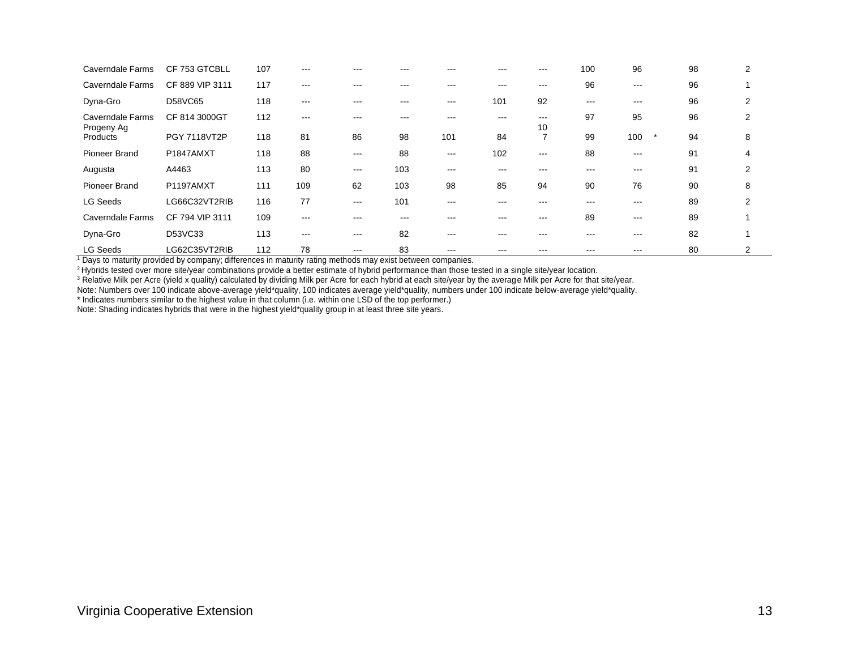| Caverndale Farms                      | CF 753 GTCBLL   | 107 | $-- -$            |                   |                   |               |         | ---                     | 100 | 96       | 98 | 2              |
|---------------------------------------|-----------------|-----|-------------------|-------------------|-------------------|---------------|---------|-------------------------|-----|----------|----|----------------|
| Caverndale Farms                      | CF 889 VIP 3111 | 117 | $\qquad \qquad -$ | ---               | ---               | $- - -$       | $- - -$ | $\qquad \qquad -$       | 96  | $\cdots$ | 96 |                |
| Dyna-Gro                              | D58VC65         | 118 | $\qquad \qquad -$ | ---               | $\qquad \qquad -$ | $\frac{1}{2}$ | 101     | 92                      | --- | $\cdots$ | 96 | 2              |
| <b>Caverndale Farms</b><br>Progeny Ag | CF 814 3000GT   | 112 | $---$             |                   | ---               |               | ---     | $\qquad \qquad -$<br>10 | 97  | 95       | 96 | $\overline{2}$ |
| Products                              | PGY 7118VT2P    | 118 | 81                | 86                | 98                | 101           | 84      | ⇁                       | 99  | 100      | 94 | 8              |
| Pioneer Brand                         | P1847AMXT       | 118 | 88                | $\qquad \qquad -$ | 88                | $\frac{1}{2}$ | 102     | $\frac{1}{2}$           | 88  | $\cdots$ | 91 | 4              |
| Augusta                               | A4463           | 113 | 80                | $\qquad \qquad -$ | 103               | $-- -$        | ---     | ---                     | --- | $--$     | 91 | 2              |
| Pioneer Brand                         | P1197AMXT       | 111 | 109               | 62                | 103               | 98            | 85      | 94                      | 90  | 76       | 90 | 8              |
| <b>LG Seeds</b>                       | LG66C32VT2RIB   | 116 | 77                | $\qquad \qquad -$ | 101               | $-- -$        |         | ---                     | --- | $--$     | 89 | 2              |
| Caverndale Farms                      | CF 794 VIP 3111 | 109 | $\qquad \qquad -$ | ---               | $--$              | ---           | ---     | $\frac{1}{2}$           | 89  | $\cdots$ | 89 |                |
| Dyna-Gro                              | D53VC33         | 113 | $\qquad \qquad -$ | $\qquad \qquad -$ | 82                | $- - -$       | ---     | ---                     | --- | $\cdots$ | 82 |                |
| <b>LG Seeds</b>                       | LG62C35VT2RIB   | 112 | 78                | $\qquad \qquad -$ | 83                | $- - -$       |         |                         | --- | $--$     | 80 | 2              |

<sup>1</sup> Days to maturity provided by company; differences in maturity rating methods may exist between companies.

<sup>2</sup> Hybrids tested over more site/year combinations provide a better estimate of hybrid performance than those tested in a single site/year location.

 $^3$  Relative Milk per Acre (yield x quality) calculated by dividing Milk per Acre for each hybrid at each site/year by the average Milk per Acre for that site/year.

Note: Numbers over 100 indicate above-average yield\*quality, 100 indicates average yield\*quality, numbers under 100 indicate below-average yield\*quality.

\* Indicates numbers similar to the highest value in that column (i.e. within one LSD of the top performer.)

Note: Shading indicates hybrids that were in the highest yield\*quality group in at least three site years.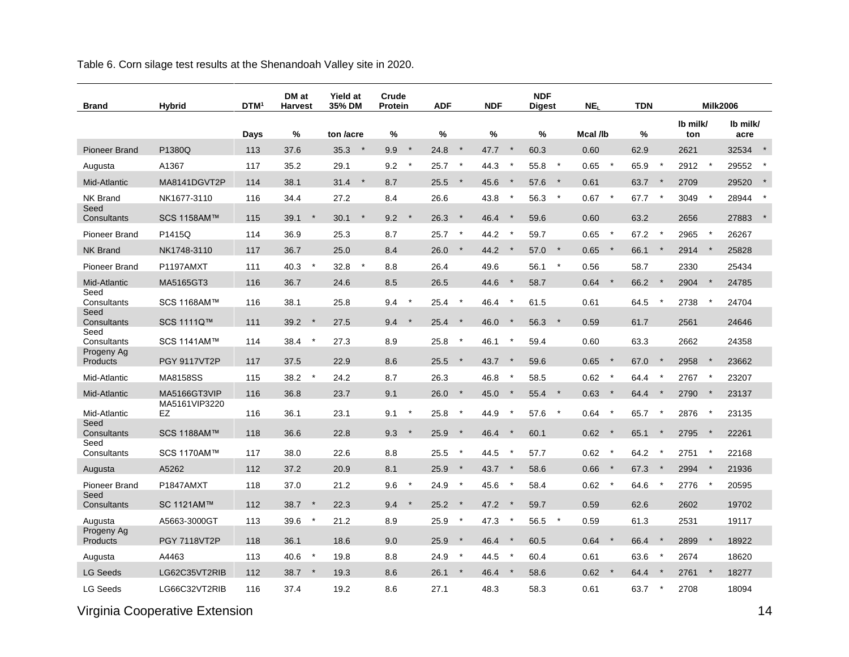Table 6. Corn silage test results at the Shenandoah Valley site in 2020.

| <b>Brand</b>           | <b>Hybrid</b>                 | <b>DTM</b> | DM at<br><b>Harvest</b> | <b>Yield at</b><br>35% DM | Crude<br>Protein         | <b>ADF</b>       | <b>NDF</b>      | <b>NDF</b><br><b>Digest</b> | NE <sub>I</sub>    | <b>TDN</b>       | <b>Milk2006</b>  |                  |
|------------------------|-------------------------------|------------|-------------------------|---------------------------|--------------------------|------------------|-----------------|-----------------------------|--------------------|------------------|------------------|------------------|
|                        |                               | Days       | %                       | ton /acre                 | %                        | %                | %               | %                           | Mcal /lb           | %                | Ib milk/<br>ton  | Ib milk/<br>acre |
| <b>Pioneer Brand</b>   | P1380Q                        | 113        | 37.6                    | 35.3<br>$\rightarrow$     | 9.9<br>$\star$           | 24.8<br>$\star$  | 47.7<br>$\star$ | 60.3                        | 0.60               | 62.9             | 2621             | 32534<br>$\star$ |
| Augusta                | A1367                         | 117        | 35.2                    | 29.1                      | 9.2<br>$^\star$          | $\star$<br>25.7  | 44.3            | 55.8<br>$\star$             | $\star$<br>0.65    | 65.9<br>$^\star$ | 2912             | 29552            |
| Mid-Atlantic           | MA8141DGVT2P                  | 114        | 38.1                    | 31.4<br>$\star$           | 8.7                      | $\star$<br>25.5  | 45.6<br>$\star$ | 57.6<br>$\star$             | 0.61               | 63.7<br>$\star$  | 2709             | 29520            |
| <b>NK Brand</b>        | NK1677-3110                   | 116        | 34.4                    | 27.2                      | 8.4                      | 26.6             | 43.8<br>$\ast$  | 56.3<br>$\star$             | 0.67<br>$\star$    | 67.7             | 3049<br>$\ast$   | 28944            |
| Seed<br>Consultants    | SCS 1158AM™                   | 115        | $\star$<br>39.1         | 30.1<br>$\star$           | 9.2<br>$\qquad \, \star$ | $\star$<br>26.3  | 46.4<br>$\star$ | 59.6                        | 0.60               | 63.2             | 2656             | 27883            |
|                        |                               |            |                         |                           |                          | $\star$          | $\star$         |                             | $\star$            |                  |                  |                  |
| <b>Pioneer Brand</b>   | P1415Q                        | 114        | 36.9                    | 25.3                      | 8.7                      | 25.7<br>$\star$  | 44.2<br>$\star$ | 59.7<br>$\star$             | 0.65<br>$\star$    | 67.2             | 2965             | 26267            |
| <b>NK Brand</b>        | NK1748-3110                   | 117        | 36.7<br>$\star$         | 25.0<br>$\star$           | 8.4                      | 26.0             | 44.2            | 57.0<br>$\star$             | 0.65               | 66.1             | 2914             | 25828            |
| Pioneer Brand          | P1197AMXT                     | 111        | 40.3                    | 32.8                      | 8.8                      | 26.4             | 49.6<br>$\ast$  | 56.1                        | 0.56<br>$\star$    | 58.7<br>$\ast$   | 2330<br>$\star$  | 25434            |
| Mid-Atlantic<br>Seed   | MA5165GT3                     | 116        | 36.7                    | 24.6                      | 8.5                      | 26.5             | 44.6            | 58.7                        | 0.64               | 66.2             | 2904             | 24785            |
| Consultants<br>Seed    | SCS 1168AM™                   | 116        | 38.1                    | 25.8                      | 9.4<br>$\ast$            | 25.4<br>$\ast$   | 46.4            | 61.5                        | 0.61               | 64.5             | 2738             | 24704            |
| Consultants            | SCS 1111Q™                    | 111        | 39.2<br>$\ast$          | 27.5                      | $\star$<br>9.4           | 25.4<br>$\star$  | 46.0<br>$\star$ | 56.3<br>$\star$             | 0.59               | 61.7             | 2561             | 24646            |
| Seed<br>Consultants    | SCS 1141AM™                   | 114        | 38.4<br>$\star$         | 27.3                      | 8.9                      | 25.8<br>$\star$  | 46.1            | 59.4                        | 0.60               | 63.3             | 2662             | 24358            |
| Progeny Ag<br>Products | <b>PGY 9117VT2P</b>           | 117        | 37.5                    | 22.9                      | 8.6                      | 25.5<br>$\star$  | 43.7<br>$\star$ | 59.6                        | 0.65<br>$\star$    | 67.0             | 2958             | 23662            |
| Mid-Atlantic           | MA8158SS                      | 115        | $\star$<br>38.2         | 24.2                      | 8.7                      | 26.3             | 46.8            | 58.5                        | 0.62<br>$^{\star}$ | 64.4             | 2767<br>$^\star$ | 23207            |
|                        |                               |            |                         |                           |                          | $\star$          | $\star$         | $\mathbf{\star}$            | $\star$            | $\star$          | $\star$          |                  |
| Mid-Atlantic           | MA5166GT3VIP<br>MA5161VIP3220 | 116        | 36.8                    | 23.7                      | 9.1                      | 26.0             | 45.0            | 55.4                        | 0.63               | 64.4             | 2790             | 23137            |
| Mid-Atlantic<br>Seed   | EZ                            | 116        | 36.1                    | 23.1                      | $\star$<br>9.1           | 25.8<br>$^\star$ | $\star$<br>44.9 | 57.6<br>$\star$             | $^{\star}$<br>0.64 | $\star$<br>65.7  | 2876<br>$^\star$ | 23135            |
| Consultants            | SCS 1188AM™                   | 118        | 36.6                    | 22.8                      | 9.3<br>$\star$           | 25.9<br>$\star$  | 46.4<br>$\star$ | 60.1                        | 0.62<br>$\star$    | 65.1             | 2795<br>$\star$  | 22261            |
| Seed<br>Consultants    | SCS 1170AM™                   | 117        | 38.0                    | 22.6                      | 8.8                      | $\star$<br>25.5  | 44.5<br>$\star$ | 57.7                        | 0.62<br>$^{\star}$ | 64.2<br>$\ast$   | 2751<br>$\star$  | 22168            |
| Augusta                | A5262                         | 112        | 37.2                    | 20.9                      | 8.1                      | 25.9<br>$\star$  | $\star$<br>43.7 | 58.6                        | $\star$<br>0.66    | $\star$<br>67.3  | 2994             | 21936            |
| <b>Pioneer Brand</b>   | P1847AMXT                     | 118        | 37.0                    | 21.2                      | 9.6<br>$\star$           | 24.9<br>$^\star$ | 45.6            | 58.4                        | 0.62<br>$^{\star}$ | 64.6             | 2776             | 20595            |
| Seed<br>Consultants    | SC 1121AM™                    | 112        | 38.7<br>$\star$         | 22.3                      | 9.4<br>$\star$           | 25.2<br>$\star$  | 47.2<br>$\star$ | 59.7                        | 0.59               | 62.6             | 2602             | 19702            |
| Augusta                | A5663-3000GT                  | 113        | 39.6<br>$\ast$          | 21.2                      | 8.9                      | $\star$<br>25.9  | 47.3<br>$\ast$  | 56.5<br>$\star$             | 0.59               | 61.3             | 2531             | 19117            |
| Progeny Ag             |                               |            |                         |                           |                          |                  |                 |                             |                    |                  |                  |                  |
| Products               | <b>PGY 7118VT2P</b>           | 118        | 36.1                    | 18.6                      | 9.0                      | 25.9<br>$\star$  | 46.4<br>$\star$ | 60.5                        | $\star$<br>0.64    | 66.4<br>$\star$  | 2899<br>$\star$  | 18922            |
| Augusta                | A4463                         | 113        | $\star$<br>40.6         | 19.8                      | 8.8                      | $\star$<br>24.9  | $\star$<br>44.5 | 60.4                        | 0.61               | 63.6             | 2674             | 18620            |
| <b>LG Seeds</b>        | LG62C35VT2RIB                 | 112        | 38.7<br>$\ast$          | 19.3                      | 8.6                      | 26.1<br>$\ast$   | 46.4            | 58.6                        | 0.62<br>$\star$    | 64.4<br>$\star$  | 2761             | 18277            |
| <b>LG Seeds</b>        | LG66C32VT2RIB                 | 116        | 37.4                    | 19.2                      | 8.6                      | 27.1             | 48.3            | 58.3                        | 0.61               | 63.7             | 2708             | 18094            |

Virginia Cooperative Extension **14**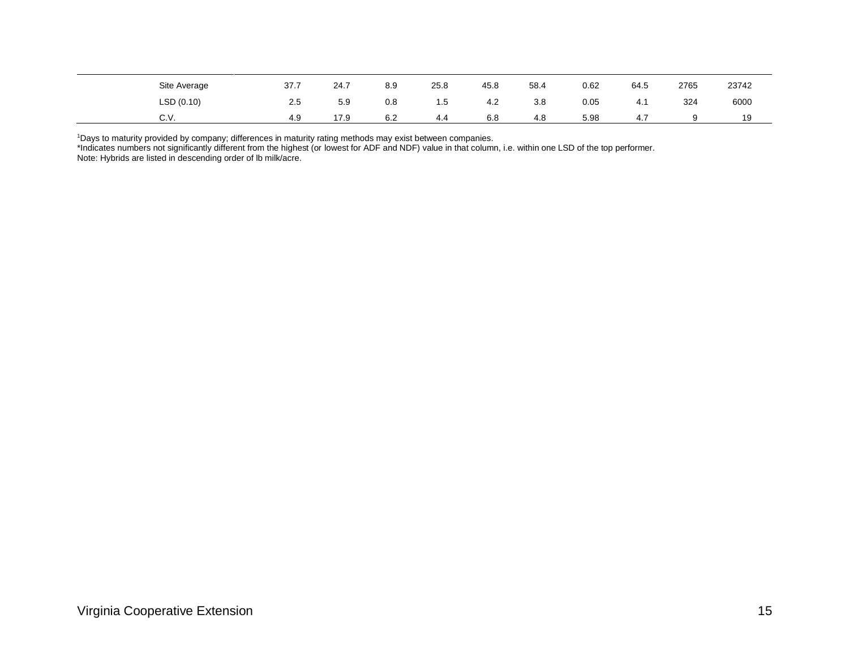| Site Average | 37.7 | 24.7 | 8.9 | 25.8 | 45.8 | 58.4 | 0.62 | 64.5 | 2765 | 23742 |
|--------------|------|------|-----|------|------|------|------|------|------|-------|
| LSD(0.10)    | 2.5  | 5.9  | 0.8 | 1.5  | 4.2  | 3.8  | 0.05 | 4. . | 324  | 6000  |
| C.V.         | 4.9  | 17.9 | 6.2 | 4.4  | 6.8  | 4.8  | 5.98 | 4    |      | 19    |

<sup>1</sup>Days to maturity provided by company; differences in maturity rating methods may exist between companies.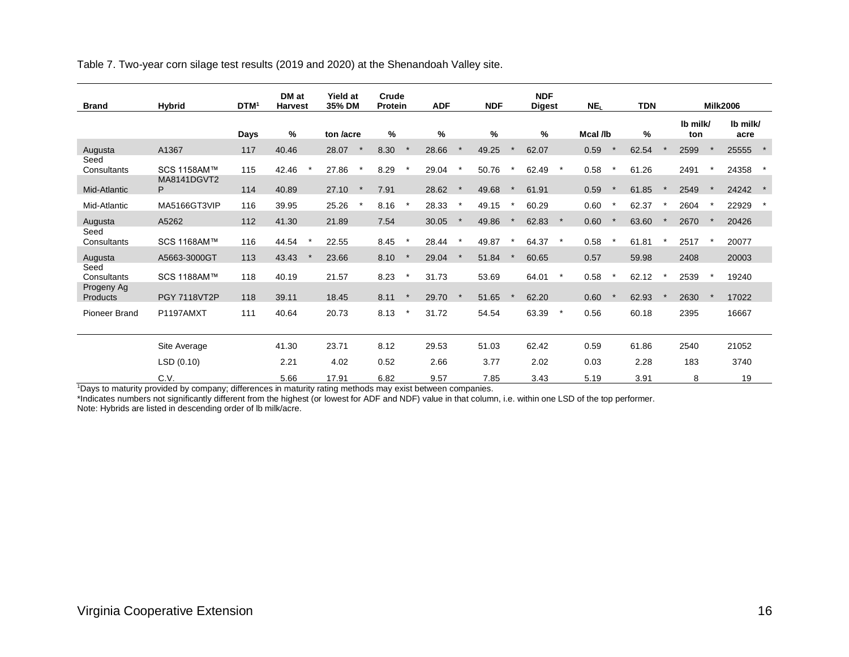Table 7. Two-year corn silage test results (2019 and 2020) at the Shenandoah Valley site.

| <b>Brand</b>                      | <b>Hybrid</b>              | DTM <sup>1</sup> | DM at<br><b>Harvest</b> | <b>Yield at</b><br>35% DM | Crude<br><b>Protein</b> | <b>ADF</b> | <b>NDF</b> | <b>NDF</b><br><b>Digest</b> |         | NE <sub>L</sub> | <b>TDN</b> |                 | <b>Milk2006</b>  |
|-----------------------------------|----------------------------|------------------|-------------------------|---------------------------|-------------------------|------------|------------|-----------------------------|---------|-----------------|------------|-----------------|------------------|
|                                   |                            | Days             | %                       | ton /acre                 | $\%$                    | %          | $\%$       | %                           |         | Mcal /lb        | %          | Ib milk/<br>ton | Ib milk/<br>acre |
| Augusta                           | A1367                      | 117              | 40.46                   | 28.07                     | 8.30                    | 28.66      | 49.25      | 62.07                       |         | 0.59            | 62.54      | 2599            | 25555            |
| Seed<br>Consultants               | SCS 1158AM™<br>MA8141DGVT2 | 115              | 42.46                   | 27.86<br>$\star$          | 8.29<br>$\star$         | 29.04      | 50.76      | 62.49                       | $\star$ | 0.58            | 61.26      | 2491            | 24358            |
| Mid-Atlantic                      | P                          | 114              | 40.89                   | 27.10                     | 7.91                    | 28.62      | 49.68      | 61.91                       |         | 0.59            | 61.85      | 2549            | 24242            |
| Mid-Atlantic                      | MA5166GT3VIP               | 116              | 39.95                   | 25.26<br>$\star$          | $\star$<br>8.16         | 28.33      | 49.15      | 60.29                       |         | 0.60            | 62.37      | 2604            | 22929            |
| Augusta<br>Seed                   | A5262                      | 112              | 41.30                   | 21.89                     | 7.54                    | 30.05      | 49.86      | 62.83                       | $\star$ | 0.60            | 63.60      | 2670            | 20426            |
| Consultants                       | SCS 1168AM™                | 116              | 44.54                   | 22.55                     | 8.45                    | 28.44      | 49.87      | 64.37                       | $\star$ | 0.58            | 61.81      | 2517            | 20077            |
| Augusta                           | A5663-3000GT               | 113              | 43.43                   | 23.66                     | 8.10                    | 29.04      | 51.84      | 60.65                       |         | 0.57            | 59.98      | 2408            | 20003            |
| Seed<br>Consultants<br>Progeny Ag | SCS 1188AM™                | 118              | 40.19                   | 21.57                     | 8.23                    | 31.73      | 53.69      | 64.01                       |         | 0.58            | 62.12      | 2539            | 19240            |
| Products                          | <b>PGY 7118VT2P</b>        | 118              | 39.11                   | 18.45                     | 8.11                    | 29.70      | 51.65      | 62.20                       |         | 0.60            | 62.93      | 2630            | 17022            |
| <b>Pioneer Brand</b>              | P1197AMXT                  | 111              | 40.64                   | 20.73                     | 8.13<br>$\star$         | 31.72      | 54.54      | 63.39                       | $\star$ | 0.56            | 60.18      | 2395            | 16667            |
|                                   | Site Average               |                  | 41.30                   | 23.71                     | 8.12                    | 29.53      | 51.03      | 62.42                       |         | 0.59            | 61.86      | 2540            | 21052            |
|                                   | LSD (0.10)                 |                  | 2.21                    | 4.02                      | 0.52                    | 2.66       | 3.77       | 2.02                        |         | 0.03            | 2.28       | 183             | 3740             |
|                                   | C.V.                       |                  | 5.66                    | 17.91                     | 6.82                    | 9.57       | 7.85       | 3.43                        |         | 5.19            | 3.91       | 8               | 19               |

<sup>1</sup>Days to maturity provided by company; differences in maturity rating methods may exist between companies.

\*Indicates numbers not significantly different from the highest (or lowest for ADF and NDF) value in that column, i.e. within one LSD of the top performer. Note: Hybrids are listed in descending order of lb milk/acre.

Virginia Cooperative Extension 16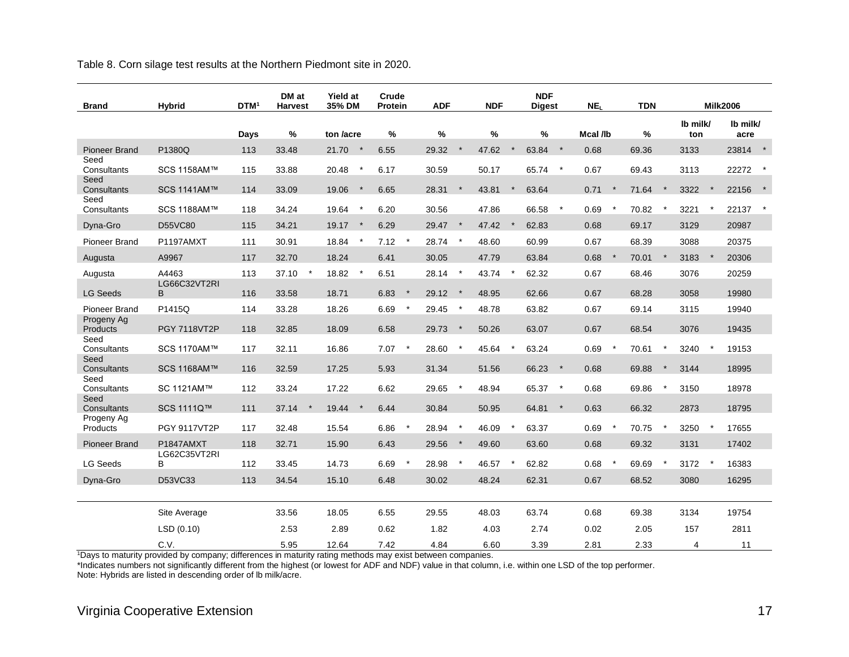Table 8. Corn silage test results at the Northern Piedmont site in 2020.

| <b>Brand</b>           | <b>Hybrid</b>       | DTM <sup>1</sup> | DM at<br><b>Harvest</b> | <b>Yield at</b><br>35% DM | Crude<br>Protein | <b>ADF</b>        | <b>NDF</b> | <b>NDF</b><br><b>Digest</b> | NE <sub>I</sub> |         | <b>TDN</b> |          |                 |         | <b>Milk2006</b>  |  |
|------------------------|---------------------|------------------|-------------------------|---------------------------|------------------|-------------------|------------|-----------------------------|-----------------|---------|------------|----------|-----------------|---------|------------------|--|
|                        |                     | Days             | $\%$                    | ton /acre                 | $\%$             | $\%$              | $\%$       | $\%$                        | Mcal /lb        |         | $\%$       |          | Ib milk/<br>ton |         | Ib milk/<br>acre |  |
| Pioneer Brand          | P1380Q              | 113              | 33.48                   | 21.70<br>$\star$          | 6.55             | 29.32<br>$\ast$   | 47.62      | 63.84<br>$\star$            | 0.68            |         | 69.36      |          | 3133            |         | 23814 *          |  |
| Seed<br>Consultants    | SCS 1158AM™         | 115              | 33.88                   | 20.48<br>$\star$          | 6.17             | 30.59             | 50.17      | 65.74<br>$\star$            | 0.67            |         | 69.43      |          | 3113            |         | 22272 *          |  |
| Seed<br>Consultants    | SCS 1141AM™         | 114              | 33.09                   | 19.06<br>$\star$          | 6.65             | 28.31<br>$\star$  | 43.81      | 63.64                       | 0.71            |         | 71.64      | $\ast$   | 3322            | $\star$ | 22156            |  |
| Seed<br>Consultants    | SCS 1188AM™         | 118              | 34.24                   | 19.64<br>$\star$          | 6.20             | 30.56             | 47.86      | 66.58                       | $\star$<br>0.69 | $\star$ | 70.82      | $\star$  | 3221            |         | 22137            |  |
| Dyna-Gro               | <b>D55VC80</b>      | 115              | 34.21                   | 19.17<br>$\star$          | 6.29             | $\star$<br>29.47  | 47.42      | 62.83                       | 0.68            |         | 69.17      |          | 3129            |         | 20987            |  |
| <b>Pioneer Brand</b>   | P1197AMXT           | 111              | 30.91                   | 18.84<br>$\star$          | 7.12<br>$\star$  | 28.74<br>$^\star$ | 48.60      | 60.99                       | 0.67            |         | 68.39      |          | 3088            |         | 20375            |  |
| Augusta                | A9967               | 117              | 32.70                   | 18.24                     | 6.41             | 30.05             | 47.79      | 63.84                       | 0.68            | $\star$ | 70.01      | $\star$  | 3183            | $\star$ | 20306            |  |
| Augusta                | A4463               | 113              | 37.10                   | 18.82<br>$\star$          | 6.51             | 28.14<br>$\ast$   | 43.74      | 62.32                       | 0.67            |         | 68.46      |          | 3076            |         | 20259            |  |
| <b>LG Seeds</b>        | LG66C32VT2RI<br>B.  | 116              | 33.58                   | 18.71                     | 6.83<br>$\star$  | 29.12<br>$\star$  | 48.95      | 62.66                       | 0.67            |         | 68.28      |          | 3058            |         | 19980            |  |
| Pioneer Brand          | P1415Q              | 114              | 33.28                   | 18.26                     | 6.69<br>$\ast$   | $\ast$<br>29.45   | 48.78      | 63.82                       | 0.67            |         | 69.14      |          | 3115            |         | 19940            |  |
| Progeny Ag<br>Products | <b>PGY 7118VT2P</b> | 118              | 32.85                   | 18.09                     | 6.58             | 29.73<br>$\ast$   | 50.26      | 63.07                       | 0.67            |         | 68.54      |          | 3076            |         | 19435            |  |
| Seed<br>Consultants    | SCS 1170AM™         | 117              | 32.11                   | 16.86                     | $\star$<br>7.07  | 28.60             | 45.64      | 63.24                       | 0.69            |         | 70.61      |          | 3240            |         | 19153            |  |
| Seed<br>Consultants    | SCS 1168AM™         | 116              | 32.59                   | 17.25                     | 5.93             | 31.34             | 51.56      | 66.23<br>$\star$            | 0.68            |         | 69.88      | $\ast$   | 3144            |         | 18995            |  |
| Seed                   |                     |                  |                         |                           |                  |                   |            |                             |                 |         |            |          |                 |         |                  |  |
| Consultants<br>Seed    | SC 1121AM™          | 112              | 33.24                   | 17.22                     | 6.62             | $^\star$<br>29.65 | 48.94      | 65.37<br>$\star$            | 0.68            |         | 69.86      | $\star$  | 3150            |         | 18978            |  |
| Consultants            | SCS 1111Q™          | 111              | 37.14                   | 19.44                     | 6.44             | 30.84             | 50.95      | 64.81<br>$\star$            | 0.63            |         | 66.32      |          | 2873            |         | 18795            |  |
| Progeny Ag<br>Products | <b>PGY 9117VT2P</b> | 117              | 32.48                   | 15.54                     | $\star$<br>6.86  | $\star$<br>28.94  | 46.09      | 63.37                       | 0.69            |         | 70.75      | $^\star$ | 3250            | $\star$ | 17655            |  |
| <b>Pioneer Brand</b>   | P1847AMXT           | 118              | 32.71                   | 15.90                     | 6.43             | 29.56<br>$\ast$   | 49.60      | 63.60                       | 0.68            |         | 69.32      |          | 3131            |         | 17402            |  |
| <b>LG Seeds</b>        | LG62C35VT2RI<br>B   | 112              | 33.45                   | 14.73                     | $\star$<br>6.69  | $\star$<br>28.98  | 46.57      | 62.82                       | 0.68            | $\star$ | 69.69      | $\star$  | 3172            | $\star$ | 16383            |  |
| Dyna-Gro               | D53VC33             | 113              | 34.54                   | 15.10                     | 6.48             | 30.02             | 48.24      | 62.31                       | 0.67            |         | 68.52      |          | 3080            |         | 16295            |  |
|                        |                     |                  |                         |                           |                  |                   |            |                             |                 |         |            |          |                 |         |                  |  |
|                        | Site Average        |                  | 33.56                   | 18.05                     | 6.55             | 29.55             | 48.03      | 63.74                       | 0.68            |         | 69.38      |          | 3134            |         | 19754            |  |
|                        | LSD(0.10)           |                  | 2.53                    | 2.89                      | 0.62             | 1.82              | 4.03       | 2.74                        | 0.02            |         | 2.05       |          | 157             |         | 2811             |  |
|                        | C.V.                |                  | 5.95                    | 12.64                     | 7.42             | 4.84              | 6.60       | 3.39                        | 2.81            |         | 2.33       |          | 4               |         | 11               |  |

<sup>1</sup>Days to maturity provided by company; differences in maturity rating methods may exist between companies.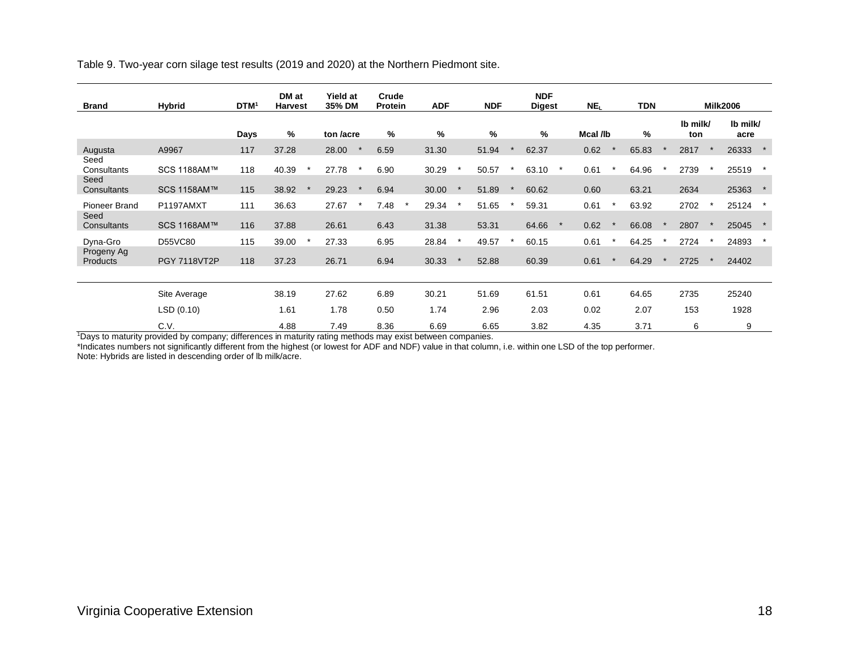Table 9. Two-year corn silage test results (2019 and 2020) at the Northern Piedmont site.

| <b>Brand</b>                | Hybrid       | <b>DTM</b> | DM at<br><b>Harvest</b> | <b>Yield at</b><br>35% DM | Crude<br>Protein |         | <b>ADF</b>    | <b>NDF</b> | <b>NDF</b><br><b>Digest</b> |         | NE <sub>L</sub> | <b>TDN</b> |                 | <b>Milk2006</b>  |  |
|-----------------------------|--------------|------------|-------------------------|---------------------------|------------------|---------|---------------|------------|-----------------------------|---------|-----------------|------------|-----------------|------------------|--|
|                             |              | Days       | %                       | ton <i>lacre</i>          | %                |         | $\frac{0}{0}$ | $\%$       | %                           |         | Mcal /lb        | %          | Ib milk/<br>ton | Ib milk/<br>acre |  |
| Augusta                     | A9967        | 117        | 37.28                   | 28.00                     | 6.59             |         | 31.30         | 51.94      | 62.37                       |         | 0.62            | 65.83      | 2817            | 26333            |  |
| Seed<br>Consultants<br>Seed | SCS 1188AM™  | 118        | 40.39                   | 27.78                     | 6.90             |         | 30.29         | 50.57      | 63.10                       |         | 0.61            | 64.96      | 2739            | 25519            |  |
| Consultants                 | SCS 1158AM™  | 115        | 38.92                   | 29.23                     | 6.94             |         | 30.00         | 51.89      | 60.62                       |         | 0.60            | 63.21      | 2634            | 25363            |  |
| Pioneer Brand<br>Seed       | P1197AMXT    | 111        | 36.63                   | 27.67                     | 7.48             | $\star$ | 29.34         | 51.65      | 59.31                       |         | 0.61            | 63.92      | 2702            | 25124            |  |
| Consultants                 | SCS 1168AM™  | 116        | 37.88                   | 26.61                     | 6.43             |         | 31.38         | 53.31      | 64.66                       | $\star$ | 0.62            | 66.08      | 2807            | 25045            |  |
| Dyna-Gro                    | D55VC80      | 115        | 39.00                   | 27.33                     | 6.95             |         | 28.84         | 49.57      | 60.15                       |         | 0.61            | 64.25      | 2724            | 24893            |  |
| Progeny Ag<br>Products      | PGY 7118VT2P | 118        | 37.23                   | 26.71                     | 6.94             |         | 30.33         | 52.88      | 60.39                       |         | 0.61            | 64.29      | 2725            | 24402            |  |
|                             |              |            |                         |                           |                  |         |               |            |                             |         |                 |            |                 |                  |  |
|                             | Site Average |            | 38.19                   | 27.62                     | 6.89             |         | 30.21         | 51.69      | 61.51                       |         | 0.61            | 64.65      | 2735            | 25240            |  |
|                             | LSD(0.10)    |            | 1.61                    | 1.78                      | 0.50             |         | 1.74          | 2.96       | 2.03                        |         | 0.02            | 2.07       | 153             | 1928             |  |
|                             | C.V.         |            | 4.88                    | 7.49                      | 8.36             |         | 6.69          | 6.65       | 3.82                        |         | 4.35            | 3.71       | 6               | 9                |  |

<sup>1</sup>Days to maturity provided by company; differences in maturity rating methods may exist between companies.

\*Indicates numbers not significantly different from the highest (or lowest for ADF and NDF) value in that column, i.e. within one LSD of the top performer.

Note: Hybrids are listed in descending order of lb milk/acre.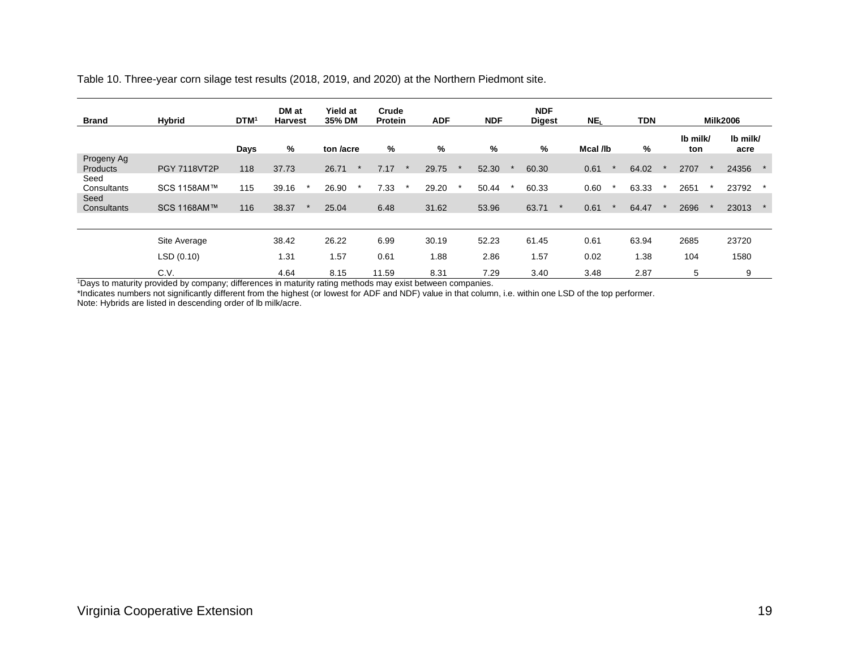| <b>Brand</b>           | <b>Hybrid</b>       | DTM <sup>1</sup> | DM at<br><b>Harvest</b> | <b>Yield at</b><br>35% DM | Crude<br><b>Protein</b> | <b>ADF</b> | <b>NDF</b> | <b>NDF</b><br><b>Digest</b> | NE <sub>L</sub> | TDN   |                 | <b>Milk2006</b>  |
|------------------------|---------------------|------------------|-------------------------|---------------------------|-------------------------|------------|------------|-----------------------------|-----------------|-------|-----------------|------------------|
|                        |                     | Days             | %                       | ton /acre                 | %                       | %          | %          | %                           | Mcal /lb        | %     | Ib milk/<br>ton | Ib milk/<br>acre |
| Progeny Ag<br>Products | <b>PGY 7118VT2P</b> | 118              | 37.73                   | 26.71                     | 7.17                    | 29.75      | 52.30      | 60.30                       | 0.61            | 64.02 | 2707            | 24356            |
| Seed<br>Consultants    | SCS 1158AM™         | 115              | 39.16                   | 26.90                     | 7.33<br>$\star$         | 29.20      | 50.44      | 60.33                       | 0.60            | 63.33 | 2651            | 23792            |
| Seed<br>Consultants    | SCS 1168AM™         | 116              | 38.37                   | 25.04                     | 6.48                    | 31.62      | 53.96      | 63.71                       | 0.61            | 64.47 | 2696            | 23013            |
|                        |                     |                  |                         |                           |                         |            |            |                             |                 |       |                 |                  |
|                        | Site Average        |                  | 38.42                   | 26.22                     | 6.99                    | 30.19      | 52.23      | 61.45                       | 0.61            | 63.94 | 2685            | 23720            |
|                        | LSD(0.10)           |                  | 1.31                    | 1.57                      | 0.61                    | 1.88       | 2.86       | 1.57                        | 0.02            | 1.38  | 104             | 1580             |
|                        | C.V.                |                  | 4.64                    | 8.15                      | 11.59                   | 8.31       | 7.29       | 3.40                        | 3.48            | 2.87  | 5               | 9                |

Table 10. Three-year corn silage test results (2018, 2019, and 2020) at the Northern Piedmont site.

<sup>1</sup>Days to maturity provided by company; differences in maturity rating methods may exist between companies.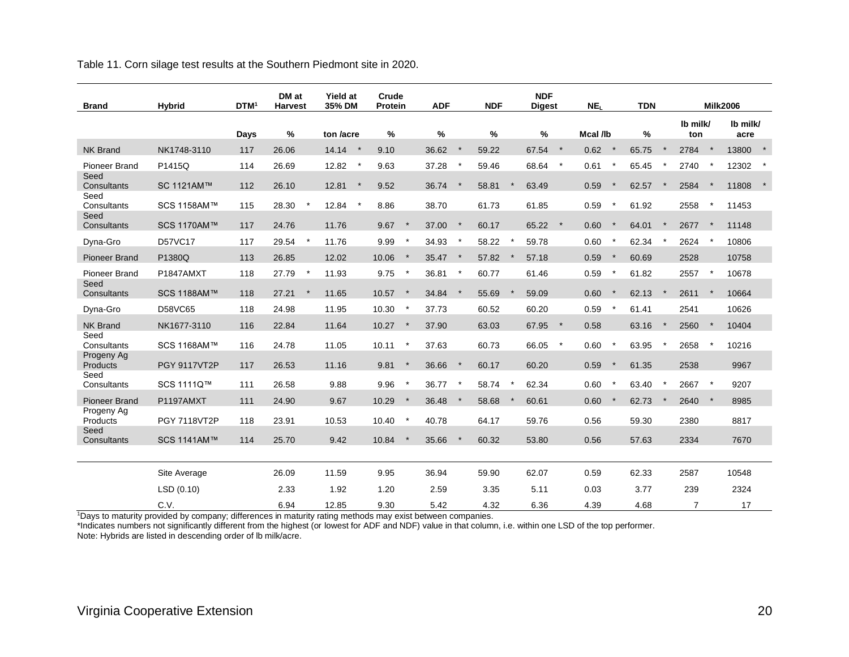Table 11. Corn silage test results at the Southern Piedmont site in 2020.

| <b>Brand</b>                 | <b>Hybrid</b>       | DTM <sup>1</sup> | DM at<br><b>Harvest</b> | <b>Yield at</b><br>35% DM | Crude<br>Protein | <b>ADF</b> |         | <b>NDF</b> |         | <b>NDF</b><br><b>Digest</b> |          | NE <sub>L</sub> |              | <b>TDN</b> |         |                 |          | <b>Milk2006</b>  |  |
|------------------------------|---------------------|------------------|-------------------------|---------------------------|------------------|------------|---------|------------|---------|-----------------------------|----------|-----------------|--------------|------------|---------|-----------------|----------|------------------|--|
|                              |                     | Days             | $\%$                    | ton /acre                 | $\%$             | $\%$       |         | $\%$       |         | %                           |          | Mcal /lb        |              | $\%$       |         | Ib milk/<br>ton |          | Ib milk/<br>acre |  |
| <b>NK Brand</b>              | NK1748-3110         | 117              | 26.06                   | 14.14<br>$\star$          | 9.10             | 36.62      | $\star$ | 59.22      |         | 67.54                       | $\star$  | 0.62            | $\star$      | 65.75      | $\ast$  | 2784            | $\star$  | 13800            |  |
| Pioneer Brand                | P1415Q              | 114              | 26.69                   | 12.82<br>$^\star$         | 9.63             | 37.28      |         | 59.46      |         | 68.64                       | $\star$  | 0.61            |              | 65.45      |         | 2740            |          | 12302            |  |
| Seed<br>Consultants          | SC 1121AM™          | 112              | 26.10                   | 12.81<br>$^\star$         | 9.52             | 36.74      |         | 58.81      |         | 63.49                       |          | 0.59            |              | 62.57      |         | 2584            |          | 11808            |  |
| Seed<br>Consultants          | SCS 1158AM™         | 115              | 28.30                   | 12.84<br>$\star$          | 8.86             | 38.70      |         | 61.73      |         | 61.85                       |          | 0.59            |              | 61.92      |         | 2558            |          | 11453            |  |
| Seed<br>Consultants          | SCS 1170AM™         | 117              | 24.76                   | 11.76                     | 9.67<br>$\star$  | 37.00      | $\star$ | 60.17      |         | 65.22                       | $\star$  | 0.60            | $\star$      | 64.01      | $\star$ | 2677            | $\star$  | 11148            |  |
| Dyna-Gro                     | <b>D57VC17</b>      | 117              | 29.54                   | 11.76                     | 9.99<br>$\star$  | 34.93      |         | 58.22      | $\star$ | 59.78                       |          | 0.60            |              | 62.34      |         | 2624            |          | 10806            |  |
| <b>Pioneer Brand</b>         | P1380Q              | 113              | 26.85                   | 12.02                     | 10.06<br>$\ast$  | 35.47      | $\star$ | 57.82      |         | 57.18                       |          | 0.59            | $\star$      | 60.69      |         | 2528            |          | 10758            |  |
| <b>Pioneer Brand</b><br>Seed | P1847AMXT           | 118              | 27.79                   | 11.93                     | 9.75<br>$\star$  | 36.81      |         | 60.77      |         | 61.46                       |          | 0.59            |              | 61.82      |         | 2557            | $\star$  | 10678            |  |
| Consultants                  | SCS 1188AM™         | 118              | 27.21                   | 11.65                     | 10.57<br>$\ast$  | 34.84      | $\star$ | 55.69      |         | 59.09                       |          | 0.60            | $\star$      | 62.13      | $\star$ | 2611            | $\star$  | 10664            |  |
| Dyna-Gro                     | D58VC65             | 118              | 24.98                   | 11.95                     | 10.30<br>$\star$ | 37.73      |         | 60.52      |         | 60.20                       |          | 0.59            |              | 61.41      |         | 2541            |          | 10626            |  |
| <b>NK Brand</b>              | NK1677-3110         | 116              | 22.84                   | 11.64                     | 10.27<br>$\star$ | 37.90      |         | 63.03      |         | 67.95                       | $\star$  | 0.58            |              | 63.16      |         | 2560            |          | 10404            |  |
| Seed<br>Consultants          | SCS 1168AM™         | 116              | 24.78                   | 11.05                     | 10.11<br>$\ast$  | 37.63      |         | 60.73      |         | 66.05                       | $^\star$ | 0.60            | $\pmb{\ast}$ | 63.95      |         | 2658            |          | 10216            |  |
| Progeny Ag<br>Products       | <b>PGY 9117VT2P</b> | 117              | 26.53                   | 11.16                     | 9.81<br>$\ast$   | 36.66      |         | 60.17      |         | 60.20                       |          | 0.59            |              | 61.35      |         | 2538            |          | 9967             |  |
| Seed<br>Consultants          | SCS 1111Q™          | 111              | 26.58                   | 9.88                      | 9.96<br>$\star$  | 36.77      | $\star$ | 58.74      |         | 62.34                       |          | 0.60            |              | 63.40      |         | 2667            | $^\star$ | 9207             |  |
| <b>Pioneer Brand</b>         | P1197AMXT           | 111              | 24.90                   | 9.67                      | 10.29<br>$\star$ | 36.48      | $\star$ | 58.68      |         | 60.61                       |          | 0.60            |              | 62.73      |         | 2640            | $\star$  | 8985             |  |
| Progeny Ag<br>Products       | <b>PGY 7118VT2P</b> | 118              | 23.91                   | 10.53                     | 10.40<br>$\star$ | 40.78      |         | 64.17      |         | 59.76                       |          | 0.56            |              | 59.30      |         | 2380            |          | 8817             |  |
| Seed<br>Consultants          | SCS 1141AM™         | 114              | 25.70                   | 9.42                      | $\star$<br>10.84 | 35.66      | $\star$ | 60.32      |         | 53.80                       |          | 0.56            |              | 57.63      |         | 2334            |          | 7670             |  |
|                              |                     |                  |                         |                           |                  |            |         |            |         |                             |          |                 |              |            |         |                 |          |                  |  |
|                              | Site Average        |                  | 26.09                   | 11.59                     | 9.95             | 36.94      |         | 59.90      |         | 62.07                       |          | 0.59            |              | 62.33      |         | 2587            |          | 10548            |  |
|                              | LSD(0.10)           |                  | 2.33                    | 1.92                      | 1.20             | 2.59       |         | 3.35       |         | 5.11                        |          | 0.03            |              | 3.77       |         | 239             |          | 2324             |  |
|                              | C.V.                |                  | 6.94                    | 12.85                     | 9.30             | 5.42       |         | 4.32       |         | 6.36                        |          | 4.39            |              | 4.68       |         | $\overline{7}$  |          | 17               |  |

<sup>1</sup>Days to maturity provided by company; differences in maturity rating methods may exist between companies.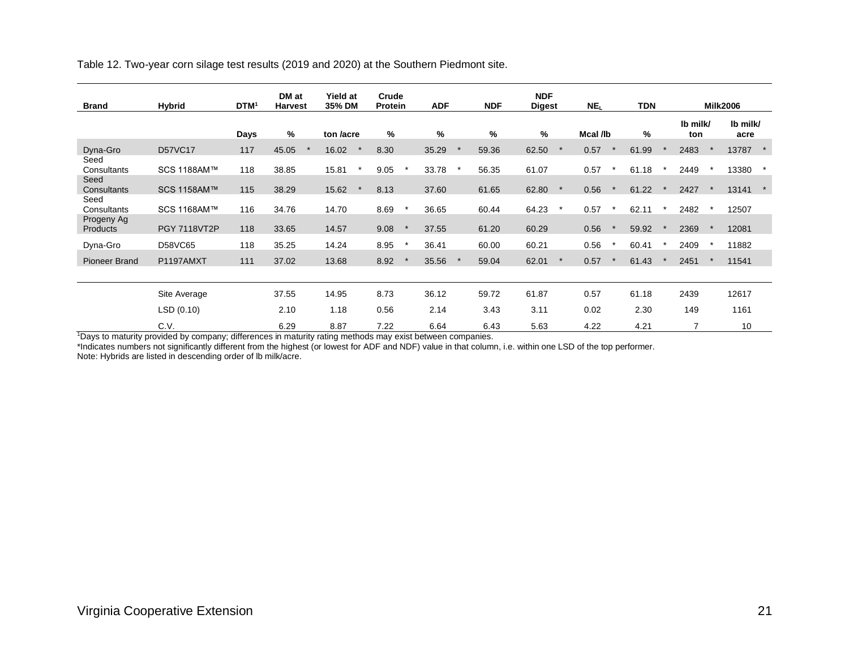Table 12. Two-year corn silage test results (2019 and 2020) at the Southern Piedmont site.

| <b>Brand</b>           | <b>Hybrid</b>       | DTM <sup>1</sup> | DM at<br><b>Harvest</b> | <b>Yield at</b><br>35% DM | Crude<br>Protein | <b>ADF</b>    | <b>NDF</b> | <b>NDF</b><br><b>Digest</b> |         | NE <sub>L</sub> | <b>TDN</b> |                 | <b>Milk2006</b>  |  |
|------------------------|---------------------|------------------|-------------------------|---------------------------|------------------|---------------|------------|-----------------------------|---------|-----------------|------------|-----------------|------------------|--|
|                        |                     | Days             | %                       | ton /acre                 | %                | $\frac{9}{6}$ | $\%$       | %                           |         | Mcal /lb        | %          | Ib milk/<br>ton | Ib milk/<br>acre |  |
| Dyna-Gro               | <b>D57VC17</b>      | 117              | 45.05                   | 16.02                     | 8.30             | 35.29         | 59.36      | 62.50                       |         | 0.57            | 61.99      | 2483            | 13787 *          |  |
| Seed<br>Consultants    | SCS 1188AM™         | 118              | 38.85                   | 15.81                     | 9.05             | 33.78         | 56.35      | 61.07                       |         | 0.57            | 61.18      | 2449            | 13380            |  |
| Seed<br>Consultants    | SCS 1158AM™         | 115              | 38.29                   | 15.62                     | 8.13             | 37.60         | 61.65      | 62.80                       | $\star$ | 0.56            | 61.22      | 2427            | 13141            |  |
| Seed<br>Consultants    | SCS 1168AM™         | 116              | 34.76                   | 14.70                     | 8.69             | 36.65         | 60.44      | 64.23                       | $\star$ | 0.57            | 62.11      | 2482            | 12507            |  |
| Progeny Ag<br>Products | <b>PGY 7118VT2P</b> | 118              | 33.65                   | 14.57                     | 9.08             | 37.55         | 61.20      | 60.29                       |         | 0.56            | 59.92      | 2369            | 12081            |  |
| Dyna-Gro               | D58VC65             | 118              | 35.25                   | 14.24                     | 8.95             | 36.41         | 60.00      | 60.21                       |         | 0.56            | 60.41      | 2409            | 11882            |  |
| <b>Pioneer Brand</b>   | P1197AMXT           | 111              | 37.02                   | 13.68                     | 8.92             | 35.56         | 59.04      | 62.01                       |         | 0.57            | 61.43      | 2451            | 11541            |  |
|                        |                     |                  |                         |                           |                  |               |            |                             |         |                 |            |                 |                  |  |
|                        | Site Average        |                  | 37.55                   | 14.95                     | 8.73             | 36.12         | 59.72      | 61.87                       |         | 0.57            | 61.18      | 2439            | 12617            |  |
|                        | LSD(0.10)           |                  | 2.10                    | 1.18                      | 0.56             | 2.14          | 3.43       | 3.11                        |         | 0.02            | 2.30       | 149             | 1161             |  |
|                        | C.V.                |                  | 6.29                    | 8.87                      | 7.22             | 6.64          | 6.43       | 5.63                        |         | 4.22            | 4.21       | $\overline{7}$  | 10               |  |

<sup>1</sup>Days to maturity provided by company; differences in maturity rating methods may exist between companies.

\*Indicates numbers not significantly different from the highest (or lowest for ADF and NDF) value in that column, i.e. within one LSD of the top performer.

Note: Hybrids are listed in descending order of lb milk/acre.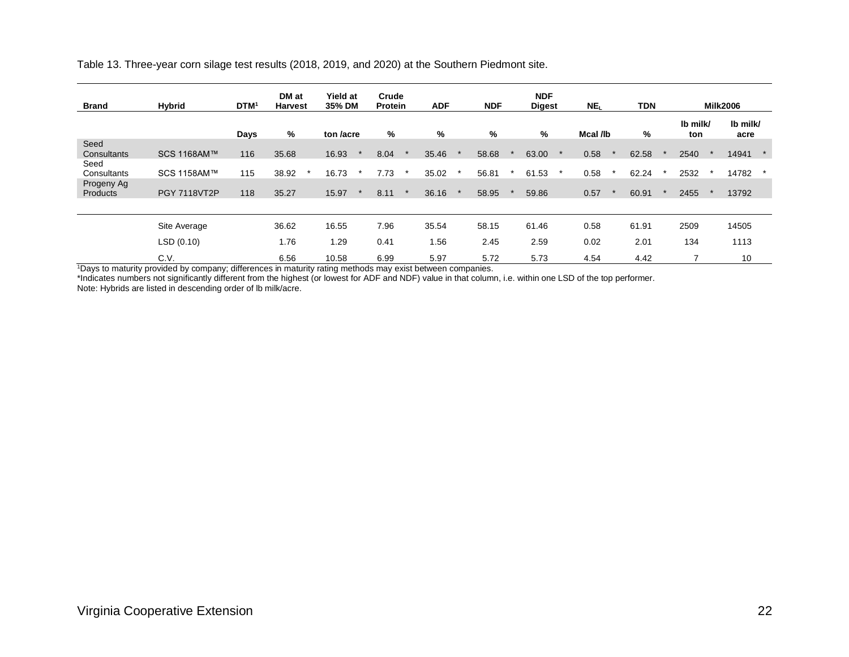|  | Table 13. Three-year corn silage test results (2018, 2019, and 2020) at the Southern Piedmont site. |  |  |
|--|-----------------------------------------------------------------------------------------------------|--|--|
|  |                                                                                                     |  |  |

| <b>Brand</b>                | <b>Hybrid</b> | <b>DTM</b> | DM at<br><b>Harvest</b> | <b>Yield at</b><br>35% DM | Crude<br>Protein | <b>ADF</b> | <b>NDF</b> | <b>NDF</b><br><b>Digest</b> | NE <sub>I</sub> | <b>TDN</b> |                 | <b>Milk2006</b>  |
|-----------------------------|---------------|------------|-------------------------|---------------------------|------------------|------------|------------|-----------------------------|-----------------|------------|-----------------|------------------|
|                             |               | Days       | %                       | ton /acre                 | %                | %          | %          | %                           | Mcal /lb        | %          | Ib milk/<br>ton | Ib milk/<br>acre |
| Seed<br>Consultants<br>Seed | SCS 1168AM™   | 116        | 35.68                   | 16.93                     | 8.04             | 35.46      | 58.68      | 63.00                       | 0.58            | 62.58      | 2540            | 14941            |
| Consultants                 | SCS 1158AM™   | 115        | 38.92                   | 16.73                     | 7.73             | 35.02      | 56.81      | 61.53                       | 0.58            | 62.24      | 2532            | 14782<br>$\star$ |
| Progeny Ag<br>Products      | PGY 7118VT2P  | 118        | 35.27                   | 15.97                     | 8.11             | 36.16      | 58.95      | 59.86                       | 0.57            | 60.91      | 2455            | 13792            |
|                             |               |            |                         |                           |                  |            |            |                             |                 |            |                 |                  |
|                             | Site Average  |            | 36.62                   | 16.55                     | 7.96             | 35.54      | 58.15      | 61.46                       | 0.58            | 61.91      | 2509            | 14505            |
|                             | LSD (0.10)    |            | 1.76                    | 1.29                      | 0.41             | 1.56       | 2.45       | 2.59                        | 0.02            | 2.01       | 134             | 1113             |
|                             | C.V.          |            | 6.56                    | 10.58                     | 6.99             | 5.97       | 5.72       | 5.73                        | 4.54            | 4.42       |                 | 10               |

<sup>1</sup>Days to maturity provided by company; differences in maturity rating methods may exist between companies.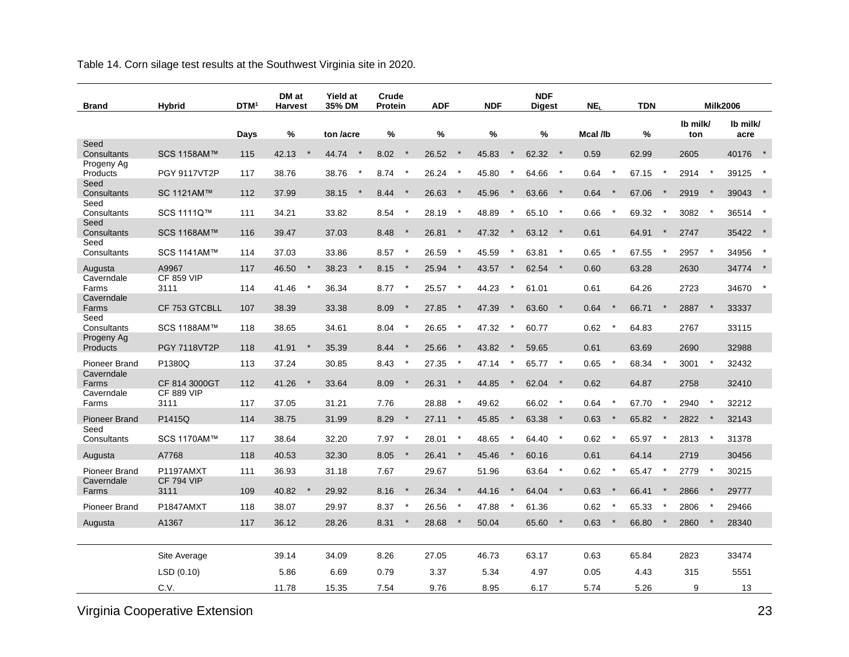Table 14. Corn silage test results at the Southwest Virginia site in 2020.

| <b>Brand</b>                       | <b>Hybrid</b>                  | <b>DTM</b> | DM at<br><b>Harvest</b> | <b>Yield at</b><br>35% DM | Crude<br><b>Protein</b> | <b>ADF</b>        | <b>NDF</b>       | <b>NDF</b><br><b>Digest</b> | NE <sub>I</sub>    | <b>TDN</b>       |                 | <b>Milk2006</b>  |
|------------------------------------|--------------------------------|------------|-------------------------|---------------------------|-------------------------|-------------------|------------------|-----------------------------|--------------------|------------------|-----------------|------------------|
|                                    |                                | Days       | %                       | ton /acre                 | $\frac{0}{0}$           | %                 | $\frac{0}{0}$    | %                           | Mcal /lb           | %                | Ib milk/<br>ton | Ib milk/<br>acre |
| Seed<br>Consultants                | SCS 1158AM™                    | 115        | 42.13                   | 44.74<br>$\star$          | 8.02<br>$\star$         | 26.52<br>$\star$  | 45.83            | 62.32<br>$\rightarrow$      | 0.59               | 62.99            | 2605            | 40176            |
| Progeny Ag<br>Products             | <b>PGY 9117VT2P</b>            | 117        | 38.76                   | 38.76<br>$^\star$         | 8.74<br>$\star$         | 26.24<br>$\star$  | 45.80<br>$\star$ | $\star$<br>64.66            | 0.64<br>$^\star$   | 67.15            | 2914<br>$\star$ | 39125            |
| Seed                               |                                |            |                         |                           |                         |                   |                  |                             |                    |                  |                 |                  |
| Consultants<br>Seed                | SC 1121AM™                     | 112        | 37.99                   | 38.15                     | 8.44<br>$\star$         | 26.63<br>$\ast$   | 45.96            | $\star$<br>63.66            | 0.64<br>$\ast$     | 67.06            | 2919            | 39043            |
| Consultants                        | SCS 1111Q™                     | 111        | 34.21                   | 33.82                     | 8.54<br>$\star$         | 28.19             | 48.89<br>$\star$ | $\star$<br>65.10            | 0.66<br>$\star$    | 69.32            | 3082            | 36514<br>$\star$ |
| Seed<br>Consultants                | SCS 1168AM™                    | 116        | 39.47                   | 37.03                     | 8.48<br>$\star$         | 26.81<br>$^\star$ | 47.32<br>$\star$ | $63.12$ *                   | 0.61               | 64.91<br>$\ast$  | 2747            | 35422 *          |
| Seed<br>Consultants                | SCS 1141AM™                    | 114        | 37.03                   | 33.86                     | 8.57<br>$\star$         | 26.59<br>$\star$  | 45.59            | $\star$<br>63.81            | 0.65<br>$\star$    | 67.55            | 2957            | 34956            |
| Augusta                            | A9967                          | 117        | $\star$<br>46.50        | $\star$<br>38.23          | 8.15<br>$\star$         | 25.94<br>$\star$  | 43.57<br>$\ast$  | 62.54<br>$\star$            | 0.60               | 63.28            | 2630            | 34774 *          |
| Caverndale<br>Farms                | <b>CF 859 VIP</b><br>3111      | 114        | 41.46                   | 36.34                     | 8.77<br>$\star$         | 25.57<br>$\ast$   | 44.23            | 61.01                       | 0.61               | 64.26            | 2723            | 34670            |
| Caverndale                         |                                |            |                         |                           |                         |                   |                  |                             |                    | $\star$          | $\star$         |                  |
| Farms<br>Seed                      | CF 753 GTCBLL                  | 107        | 38.39                   | 33.38                     | 8.09<br>$\star$         | 27.85<br>$\star$  | 47.39<br>$\ast$  | 63.60<br>$\star$            | 0.64<br>$\star$    | 66.71            | 2887            | 33337            |
| Consultants<br>Progeny Ag          | SCS 1188AM™                    | 118        | 38.65                   | 34.61                     | 8.04<br>$\star$         | 26.65             | 47.32            | 60.77                       | 0.62<br>$\ast$     | 64.83            | 2767            | 33115            |
| Products                           | <b>PGY 7118VT2P</b>            | 118        | 41.91                   | 35.39                     | 8.44<br>$\star$         | 25.66<br>$\star$  | 43.82            | 59.65                       | 0.61               | 63.69            | 2690            | 32988            |
| <b>Pioneer Brand</b>               | P1380Q                         | 113        | 37.24                   | 30.85                     | 8.43<br>$\ast$          | 27.35             | 47.14            | $\star$<br>65.77            | 0.65<br>$^{\star}$ | 68.34            | 3001            | 32432            |
| Caverndale<br>Farms                | CF 814 3000GT                  | 112        | 41.26                   | 33.64                     | 8.09<br>$\star$         | 26.31<br>$^\star$ | 44.85            | 62.04<br>$\star$            | 0.62               | 64.87            | 2758            | 32410            |
| Caverndale<br>Farms                | <b>CF 889 VIP</b><br>3111      | 117        | 37.05                   | 31.21                     | 7.76                    | 28.88             | 49.62            | 66.02<br>$\star$            | 0.64<br>$^\star$   | 67.70            | 2940<br>$\star$ | 32212            |
| <b>Pioneer Brand</b>               | P1415Q                         | 114        | 38.75                   | 31.99                     | 8.29<br>$\star$         | $^\star$<br>27.11 | 45.85<br>$\star$ | 63.38<br>$\star$            | 0.63<br>$\star$    | 65.82<br>$\star$ | 2822<br>$\star$ | 32143            |
| Seed                               |                                |            |                         |                           | $\star$                 | $^\star$          |                  | $\star$                     | $\star$            | $\ast$           | $\ast$          |                  |
| Consultants                        | SCS 1170AM™                    | 117        | 38.64                   | 32.20                     | 7.97<br>$\star$         | 28.01<br>$\star$  | 48.65            | 64.40                       | 0.62               | 65.97            | 2813            | 31378            |
| Augusta                            | A7768                          | 118        | 40.53                   | 32.30                     | 8.05<br>7.67            | 26.41             | 45.46            | 60.16<br>$^\star$           | 0.61<br>$\ast$     | 64.14            | 2719<br>$\star$ | 30456            |
| <b>Pioneer Brand</b><br>Caverndale | P1197AMXT<br><b>CF 794 VIP</b> | 111        | 36.93                   | 31.18                     |                         | 29.67             | 51.96            | 63.64                       | 0.62               | 65.47            | 2779            | 30215            |
| Farms                              | 3111                           | 109        | 40.82                   | 29.92                     | 8.16<br>$\star$         | 26.34             | 44.16            | 64.04<br>$\star$            | 0.63<br>$\star$    | 66.41            | 2866            | 29777            |
| <b>Pioneer Brand</b>               | P1847AMXT                      | 118        | 38.07                   | 29.97                     | 8.37<br>$\ast$          | 26.56             | 47.88            | 61.36                       | 0.62<br>$\star$    | 65.33            | 2806            | 29466            |
| Augusta                            | A1367                          | 117        | 36.12                   | 28.26                     | 8.31<br>$\star$         | 28.68             | 50.04            | 65.60 *                     | 0.63               | 66.80            | 2860            | 28340            |
|                                    | Site Average                   |            | 39.14                   | 34.09                     | 8.26                    | 27.05             | 46.73            | 63.17                       | 0.63               | 65.84            | 2823            | 33474            |
|                                    | LSD(0.10)                      |            | 5.86                    | 6.69                      | 0.79                    | 3.37              | 5.34             | 4.97                        | 0.05               | 4.43             | 315             | 5551             |
|                                    | C.V.                           |            | 11.78                   | 15.35                     | 7.54                    | 9.76              | 8.95             | 6.17                        | 5.74               | 5.26             | 9               | 13               |

Virginia Cooperative Extension 23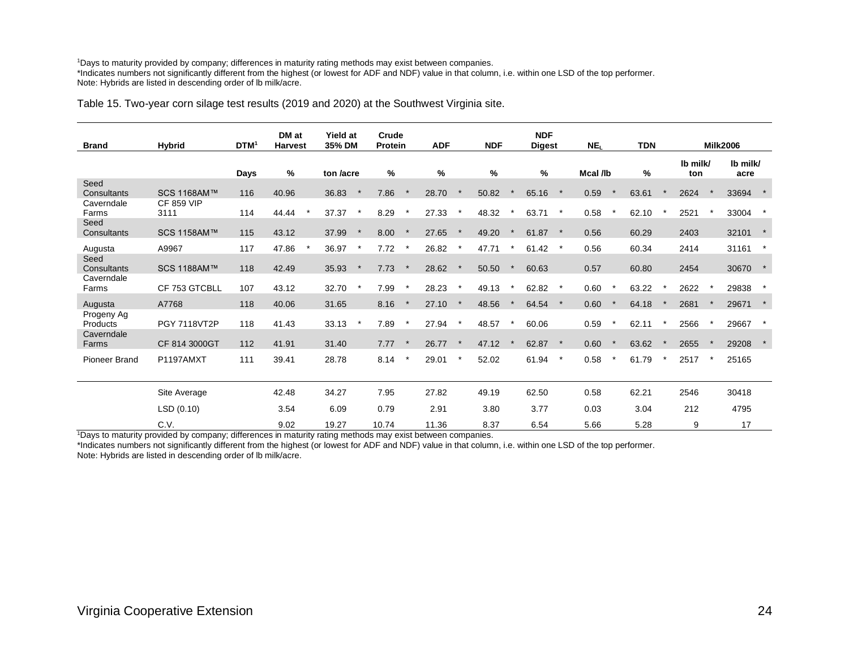#### <sup>1</sup>Days to maturity provided by company; differences in maturity rating methods may exist between companies. \*Indicates numbers not significantly different from the highest (or lowest for ADF and NDF) value in that column, i.e. within one LSD of the top performer. Note: Hybrids are listed in descending order of lb milk/acre.

#### Table 15. Two-year corn silage test results (2019 and 2020) at the Southwest Virginia site.

| <b>Brand</b>                         | <b>Hybrid</b>             | DTM <sup>1</sup> | DM at<br><b>Harvest</b> | <b>Yield at</b><br>35% DM | Crude<br><b>Protein</b> |         | <b>ADF</b>    |         | <b>NDF</b> | <b>NDF</b><br><b>Digest</b> |         | NE <sub>L</sub> | <b>TDN</b> |                 | <b>Milk2006</b>  |  |
|--------------------------------------|---------------------------|------------------|-------------------------|---------------------------|-------------------------|---------|---------------|---------|------------|-----------------------------|---------|-----------------|------------|-----------------|------------------|--|
|                                      |                           | Days             | $\%$                    | ton /acre                 | %                       |         | $\frac{0}{0}$ |         | $\%$       | %                           |         | Mcal /lb        | $\%$       | Ib milk/<br>ton | Ib milk/<br>acre |  |
| Seed<br>Consultants                  | SCS 1168AM™               | 116              | 40.96                   | 36.83                     | 7.86                    |         | 28.70         |         | 50.82      | 65.16                       |         | 0.59            | 63.61      | 2624            | 33694            |  |
| Caverndale<br>Farms                  | <b>CF 859 VIP</b><br>3111 | 114              | 44.44                   | 37.37<br>$\star$          | 8.29                    | $\star$ | 27.33         |         | 48.32      | 63.71                       | $\star$ | 0.58            | 62.10      | 2521            | 33004            |  |
| Seed<br>Consultants                  | SCS 1158AM™               | 115              | 43.12                   | 37.99<br>$\ast$           | 8.00                    |         | 27.65         |         | 49.20      | 61.87                       |         | 0.56            | 60.29      | 2403            | 32101            |  |
| Augusta                              | A9967                     | 117              | 47.86                   | 36.97                     | 7.72                    |         | 26.82         |         | 47.71      | 61.42                       |         | 0.56            | 60.34      | 2414            | 31161            |  |
| Seed<br>Consultants                  | SCS 1188AM™               | 118              | 42.49                   | 35.93                     | 7.73                    |         | 28.62         |         | 50.50      | 60.63                       |         | 0.57            | 60.80      | 2454            | 30670            |  |
| Caverndale<br>Farms                  | CF 753 GTCBLL             | 107              | 43.12                   | 32.70                     | 7.99                    |         | 28.23         | $\star$ | 49.13      | 62.82                       | $\star$ | 0.60            | 63.22      | 2622            | 29838            |  |
| Augusta                              | A7768                     | 118              | 40.06                   | 31.65                     | 8.16                    |         | 27.10         |         | 48.56      | 64.54                       |         | 0.60            | 64.18      | 2681            | 29671            |  |
| Progeny Ag<br>Products<br>Caverndale | PGY 7118VT2P              | 118              | 41.43                   | 33.13                     | 7.89                    | $\star$ | 27.94         | $\star$ | 48.57      | 60.06                       |         | 0.59            | 62.11      | 2566            | 29667            |  |
| Farms                                | CF 814 3000GT             | 112              | 41.91                   | 31.40                     | 7.77                    |         | 26.77         |         | 47.12      | 62.87                       | $\ast$  | 0.60            | 63.62      | 2655            | 29208            |  |
| Pioneer Brand                        | P1197AMXT                 | 111              | 39.41                   | 28.78                     | 8.14                    |         | 29.01         |         | 52.02      | 61.94                       | $\star$ | 0.58            | 61.79      | 2517            | 25165            |  |
|                                      | Site Average              |                  | 42.48                   | 34.27                     | 7.95                    |         | 27.82         |         | 49.19      | 62.50                       |         | 0.58            | 62.21      | 2546            | 30418            |  |
|                                      | LSD(0.10)                 |                  | 3.54                    | 6.09                      | 0.79                    |         | 2.91          |         | 3.80       | 3.77                        |         | 0.03            | 3.04       | 212             | 4795             |  |
|                                      | C.V.                      |                  | 9.02                    | 19.27                     | 10.74                   |         | 11.36         |         | 8.37       | 6.54                        |         | 5.66            | 5.28       | 9               | 17               |  |

<sup>1</sup>Days to maturity provided by company; differences in maturity rating methods may exist between companies.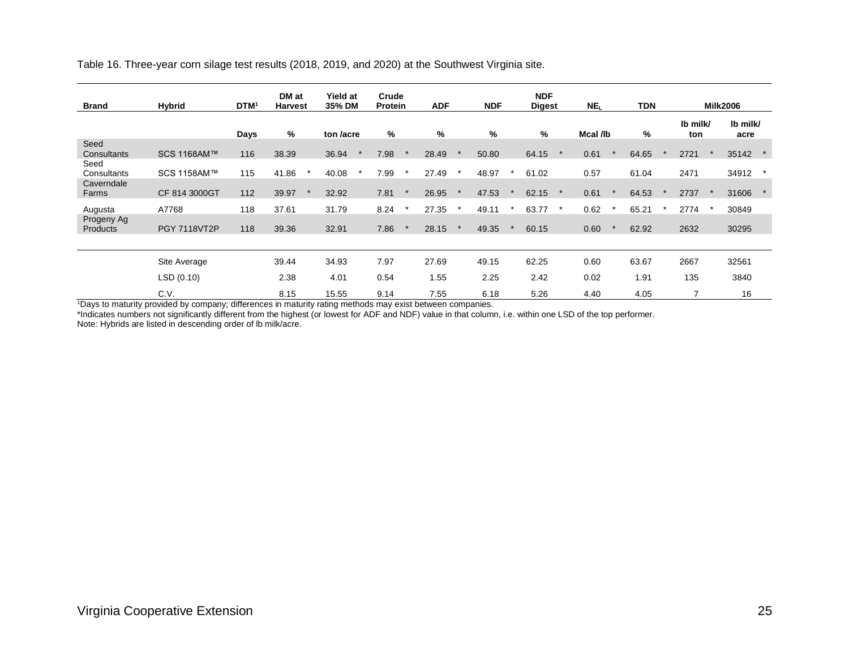Table 16. Three-year corn silage test results (2018, 2019, and 2020) at the Southwest Virginia site.

| <b>Brand</b>                      | Hybrid              | <b>DTM</b> | DM at<br><b>Harvest</b> | <b>Yield at</b><br>35% DM |         | Crude<br>Protein |         | <b>ADF</b> |         | <b>NDF</b> | <b>NDF</b><br><b>Digest</b> |         | NE <sub>L</sub> | <b>TDN</b> |                 | <b>Milk2006</b>  |  |
|-----------------------------------|---------------------|------------|-------------------------|---------------------------|---------|------------------|---------|------------|---------|------------|-----------------------------|---------|-----------------|------------|-----------------|------------------|--|
|                                   |                     | Days       | %                       | ton <i>lacre</i>          |         | %                |         | %          |         | %          | %                           |         | Mcal /lb        | %          | Ib milk/<br>ton | Ib milk/<br>acre |  |
| Seed<br>Consultants               | SCS 1168AM™         | 116        | 38.39                   | 36.94                     |         | 7.98             |         | 28.49      |         | 50.80      | 64.15                       |         | 0.61            | 64.65      | 2721            | 35142            |  |
| Seed<br>Consultants<br>Caverndale | SCS 1158AM™         | 115        | 41.86                   | 40.08                     | $\star$ | 7.99             | $\star$ | 27.49      | $\star$ | 48.97      | 61.02                       |         | 0.57            | 61.04      | 2471            | 34912            |  |
| Farms                             | CF 814 3000GT       | 112        | 39.97                   | 32.92                     |         | 7.81             |         | 26.95      |         | 47.53      | 62.15                       |         | 0.61            | 64.53      | 2737            | 31606            |  |
| Augusta                           | A7768               | 118        | 37.61                   | 31.79                     |         | 8.24             |         | 27.35      |         | 49.11      | 63.77                       | $\star$ | 0.62            | 65.21      | 2774            | 30849            |  |
| Progeny Ag<br>Products            | <b>PGY 7118VT2P</b> | 118        | 39.36                   | 32.91                     |         | 7.86             |         | 28.15      |         | 49.35      | 60.15                       |         | 0.60            | 62.92      | 2632            | 30295            |  |
|                                   | Site Average        |            | 39.44                   | 34.93                     |         | 7.97             |         | 27.69      |         | 49.15      | 62.25                       |         | 0.60            | 63.67      | 2667            | 32561            |  |
|                                   | LSD(0.10)           |            | 2.38                    | 4.01                      |         | 0.54             |         | 1.55       |         | 2.25       | 2.42                        |         | 0.02            | 1.91       | 135             | 3840             |  |
|                                   | C.V.                |            | 8.15                    | 15.55                     |         | 9.14             |         | 7.55       |         | 6.18       | 5.26                        |         | 4.40            | 4.05       | 7               | 16               |  |

<sup>1</sup>Days to maturity provided by company; differences in maturity rating methods may exist between companies.

\*Indicates numbers not significantly different from the highest (or lowest for ADF and NDF) value in that column, i.e. within one LSD of the top performer.

Note: Hybrids are listed in descending order of lb milk/acre.